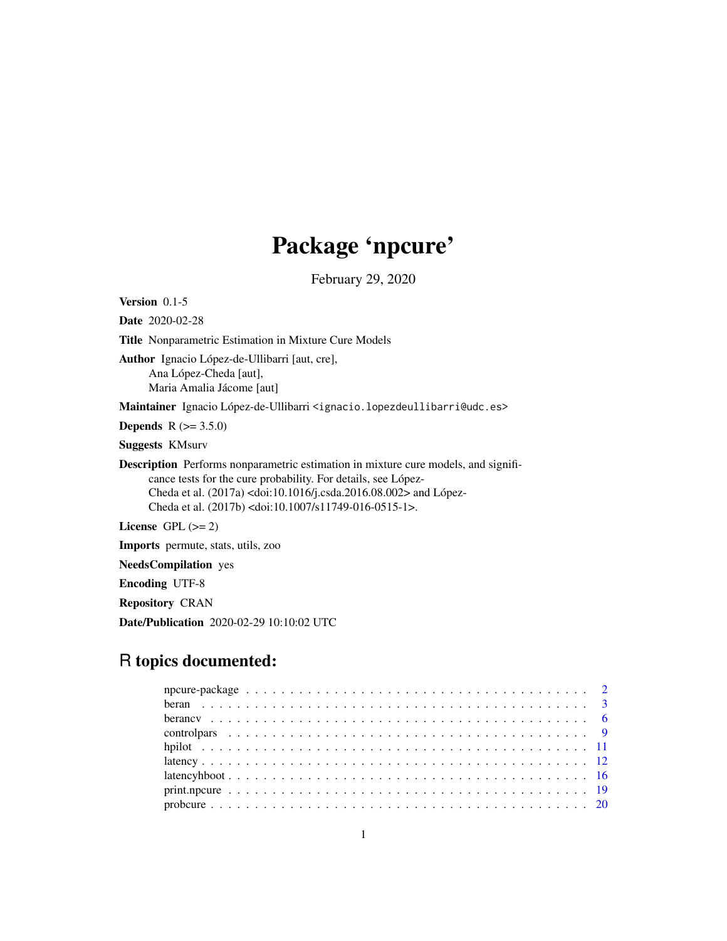# Package 'npcure'

February 29, 2020

Version 0.1-5 Date 2020-02-28 Title Nonparametric Estimation in Mixture Cure Models Author Ignacio López-de-Ullibarri [aut, cre], Ana López-Cheda [aut], Maria Amalia Jácome [aut] Maintainer Ignacio López-de-Ullibarri <ignacio.lopezdeullibarri@udc.es> **Depends** R  $(>= 3.5.0)$ Suggests KMsurv Description Performs nonparametric estimation in mixture cure models, and significance tests for the cure probability. For details, see López-Cheda et al. (2017a) <doi:10.1016/j.csda.2016.08.002> and López-Cheda et al. (2017b) <doi:10.1007/s11749-016-0515-1>. License GPL  $(>= 2)$ 

Imports permute, stats, utils, zoo

NeedsCompilation yes

Encoding UTF-8

Repository CRAN

Date/Publication 2020-02-29 10:10:02 UTC

# R topics documented: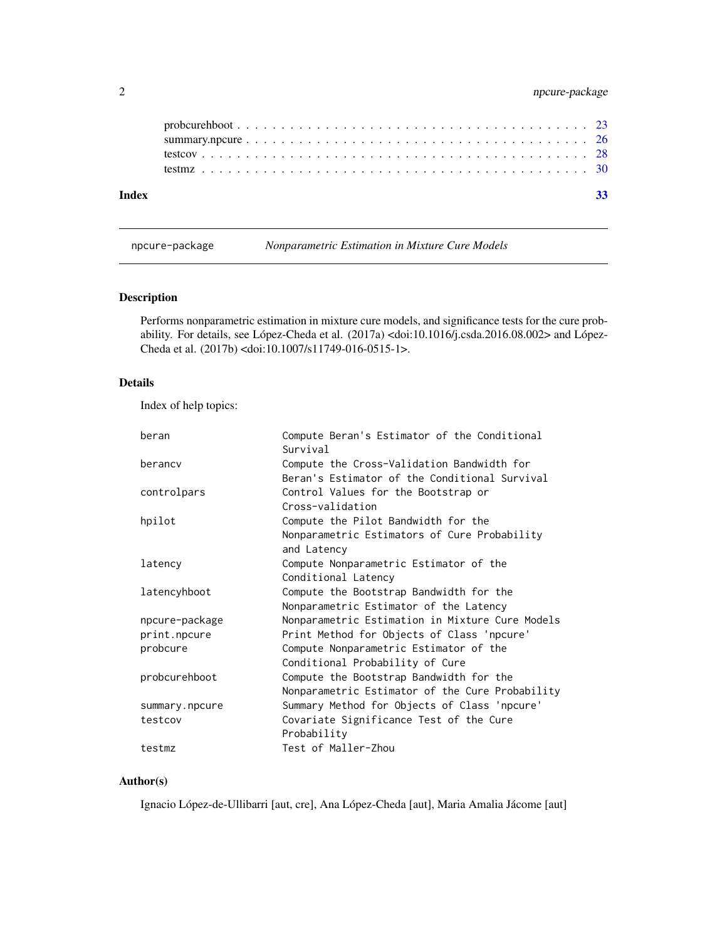# <span id="page-1-0"></span>2 npcure-package npcure-package

| Index |  |  |  |  |  |  |  |  |  |  |  |  |  |  |  |  |  |  | $\overline{33}$ |
|-------|--|--|--|--|--|--|--|--|--|--|--|--|--|--|--|--|--|--|-----------------|

npcure-package *Nonparametric Estimation in Mixture Cure Models*

# Description

Performs nonparametric estimation in mixture cure models, and significance tests for the cure probability. For details, see López-Cheda et al. (2017a) <doi:10.1016/j.csda.2016.08.002> and López-Cheda et al. (2017b) <doi:10.1007/s11749-016-0515-1>.

#### Details

Index of help topics:

| Compute Beran's Estimator of the Conditional    |
|-------------------------------------------------|
| Survival                                        |
| Compute the Cross-Validation Bandwidth for      |
| Beran's Estimator of the Conditional Survival   |
| Control Values for the Bootstrap or             |
| Cross-validation                                |
| Compute the Pilot Bandwidth for the             |
| Nonparametric Estimators of Cure Probability    |
| and Latency                                     |
| Compute Nonparametric Estimator of the          |
| Conditional Latency                             |
| Compute the Bootstrap Bandwidth for the         |
| Nonparametric Estimator of the Latency          |
| Nonparametric Estimation in Mixture Cure Models |
| Print Method for Objects of Class 'npcure'      |
| Compute Nonparametric Estimator of the          |
| Conditional Probability of Cure                 |
| Compute the Bootstrap Bandwidth for the         |
| Nonparametric Estimator of the Cure Probability |
| Summary Method for Objects of Class 'npcure'    |
| Covariate Significance Test of the Cure         |
| Probability                                     |
| Test of Maller-Zhou                             |
|                                                 |

# Author(s)

Ignacio López-de-Ullibarri [aut, cre], Ana López-Cheda [aut], Maria Amalia Jácome [aut]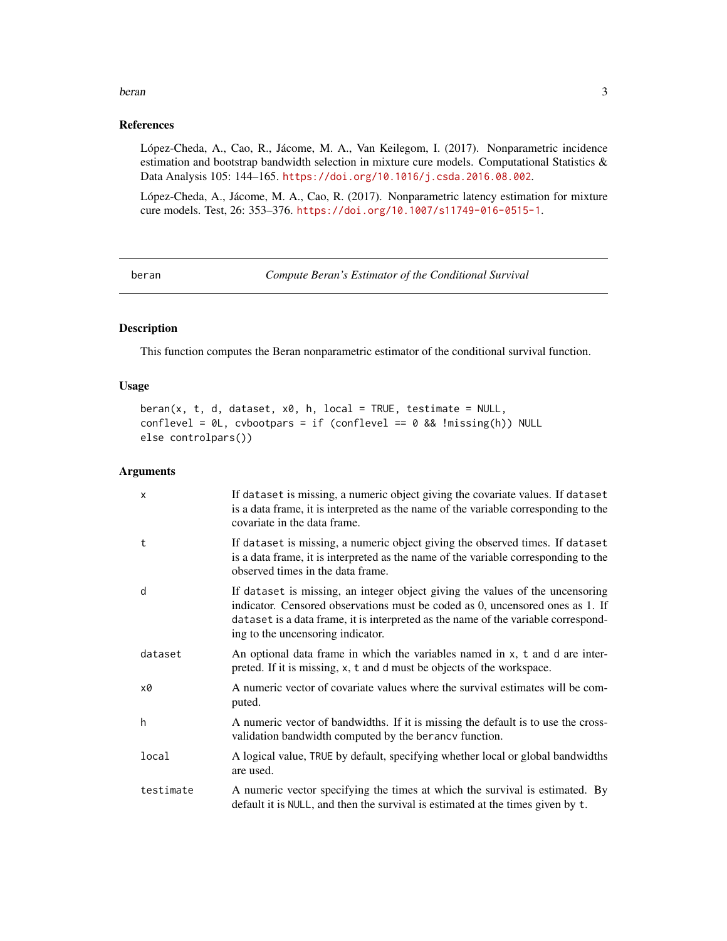#### <span id="page-2-0"></span>beran 3

# References

López-Cheda, A., Cao, R., Jácome, M. A., Van Keilegom, I. (2017). Nonparametric incidence estimation and bootstrap bandwidth selection in mixture cure models. Computational Statistics  $\&$ Data Analysis 105: 144–165. <https://doi.org/10.1016/j.csda.2016.08.002>.

López-Cheda, A., Jácome, M. A., Cao, R. (2017). Nonparametric latency estimation for mixture cure models. Test, 26: 353–376. <https://doi.org/10.1007/s11749-016-0515-1>.

<span id="page-2-1"></span>beran *Compute Beran's Estimator of the Conditional Survival*

#### Description

This function computes the Beran nonparametric estimator of the conditional survival function.

# Usage

```
bernan(x, t, d, dataset, x0, h, local = TRUE, testimate = NULL,conflevel = OL, cvbootpars = if (conflevel == 0.88 !missing(h)) NULL
else controlpars())
```
# Arguments

| $\times$  | If dataset is missing, a numeric object giving the covariate values. If dataset<br>is a data frame, it is interpreted as the name of the variable corresponding to the<br>covariate in the data frame.                                                                                    |
|-----------|-------------------------------------------------------------------------------------------------------------------------------------------------------------------------------------------------------------------------------------------------------------------------------------------|
| t         | If dataset is missing, a numeric object giving the observed times. If dataset<br>is a data frame, it is interpreted as the name of the variable corresponding to the<br>observed times in the data frame.                                                                                 |
| d         | If dataset is missing, an integer object giving the values of the uncensoring<br>indicator. Censored observations must be coded as 0, uncensored ones as 1. If<br>dataset is a data frame, it is interpreted as the name of the variable correspond-<br>ing to the uncensoring indicator. |
| dataset   | An optional data frame in which the variables named in x, t and d are inter-<br>preted. If it is missing, x, t and d must be objects of the workspace.                                                                                                                                    |
| x0        | A numeric vector of covariate values where the survival estimates will be com-<br>puted.                                                                                                                                                                                                  |
| h         | A numeric vector of bandwidths. If it is missing the default is to use the cross-<br>validation bandwidth computed by the berancy function.                                                                                                                                               |
| local     | A logical value, TRUE by default, specifying whether local or global bandwidths<br>are used.                                                                                                                                                                                              |
| testimate | A numeric vector specifying the times at which the survival is estimated. By<br>default it is NULL, and then the survival is estimated at the times given by t.                                                                                                                           |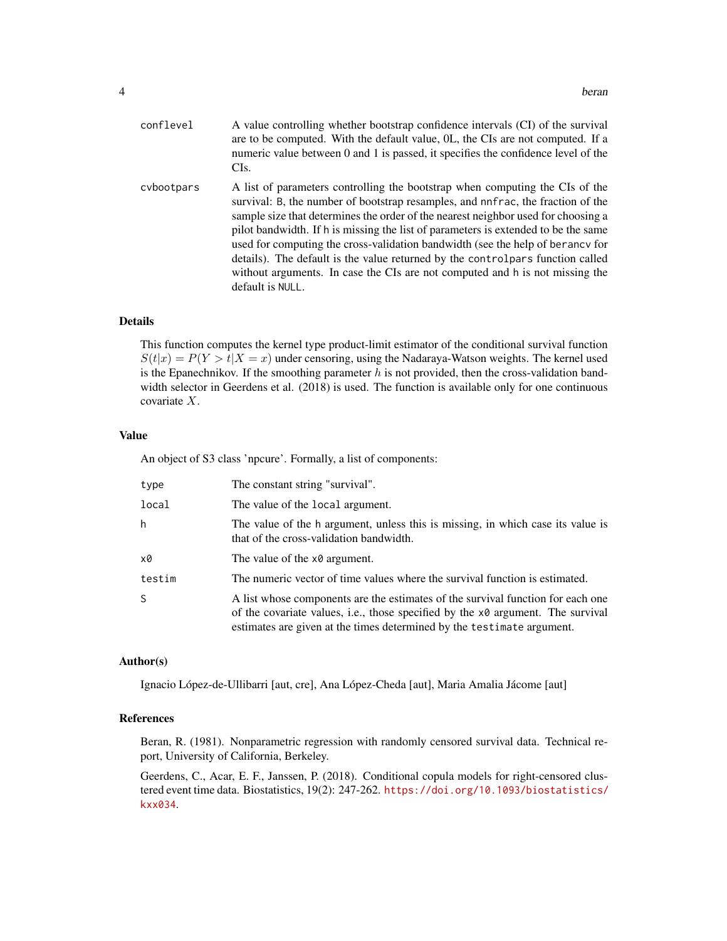| conflevel  | A value controlling whether bootstrap confidence intervals (CI) of the survival<br>are to be computed. With the default value, OL, the CIs are not computed. If a<br>numeric value between 0 and 1 is passed, it specifies the confidence level of the<br>CI <sub>s</sub> .                                                                                                                                                                                                                                                                                                                                         |
|------------|---------------------------------------------------------------------------------------------------------------------------------------------------------------------------------------------------------------------------------------------------------------------------------------------------------------------------------------------------------------------------------------------------------------------------------------------------------------------------------------------------------------------------------------------------------------------------------------------------------------------|
| cybootpars | A list of parameters controlling the bootstrap when computing the CIs of the<br>survival: B, the number of bootstrap resamples, and nnfrac, the fraction of the<br>sample size that determines the order of the nearest neighbor used for choosing a<br>pilot bandwidth. If h is missing the list of parameters is extended to be the same<br>used for computing the cross-validation bandwidth (see the help of berancy for<br>details). The default is the value returned by the control part function called<br>without arguments. In case the CIs are not computed and h is not missing the<br>default is NULL. |

# Details

This function computes the kernel type product-limit estimator of the conditional survival function  $S(t|x) = P(Y > t | X = x)$  under censoring, using the Nadaraya-Watson weights. The kernel used is the Epanechnikov. If the smoothing parameter  $h$  is not provided, then the cross-validation bandwidth selector in Geerdens et al. (2018) is used. The function is available only for one continuous covariate X.

#### Value

An object of S3 class 'npcure'. Formally, a list of components:

| type   | The constant string "survival".                                                                                                                                                                                                              |
|--------|----------------------------------------------------------------------------------------------------------------------------------------------------------------------------------------------------------------------------------------------|
| local  | The value of the local argument.                                                                                                                                                                                                             |
| h      | The value of the h argument, unless this is missing, in which case its value is<br>that of the cross-validation bandwidth.                                                                                                                   |
| x0     | The value of the x0 argument.                                                                                                                                                                                                                |
| testim | The numeric vector of time values where the survival function is estimated.                                                                                                                                                                  |
| S.     | A list whose components are the estimates of the survival function for each one<br>of the covariate values, i.e., those specified by the x0 argument. The survival<br>estimates are given at the times determined by the testimate argument. |

#### Author(s)

Ignacio López-de-Ullibarri [aut, cre], Ana López-Cheda [aut], Maria Amalia Jácome [aut]

#### References

Beran, R. (1981). Nonparametric regression with randomly censored survival data. Technical report, University of California, Berkeley.

Geerdens, C., Acar, E. F., Janssen, P. (2018). Conditional copula models for right-censored clustered event time data. Biostatistics, 19(2): 247-262. [https://doi.org/10.1093/biostatistics/](https://doi.org/10.1093/biostatistics/kxx034) [kxx034](https://doi.org/10.1093/biostatistics/kxx034).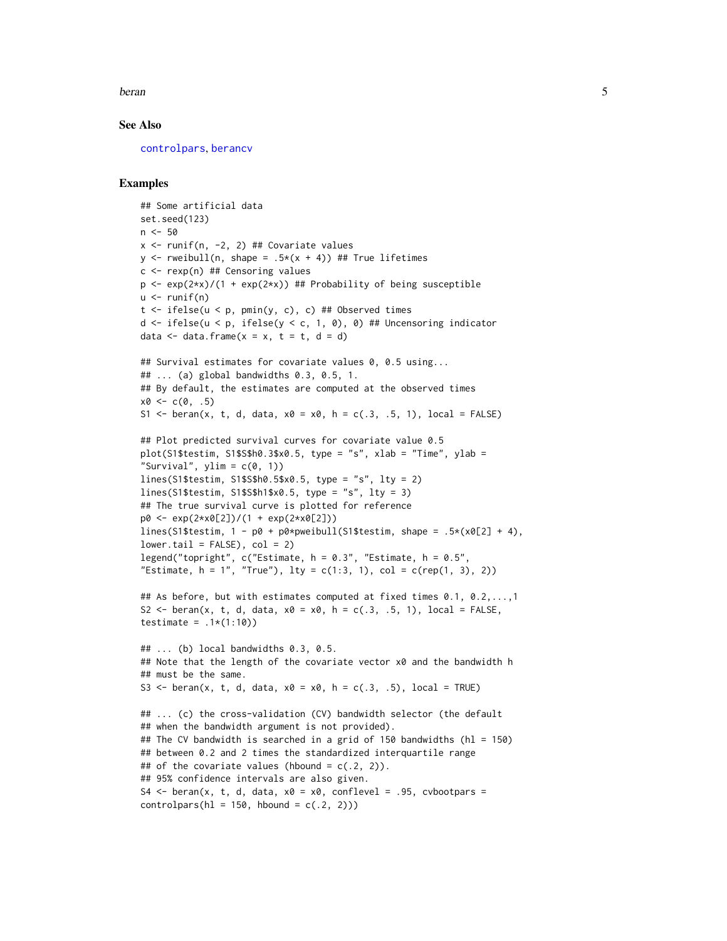<span id="page-4-0"></span>beran 5

#### See Also

[controlpars](#page-8-1), [berancv](#page-5-1)

```
## Some artificial data
set.seed(123)
n < -50x \le runif(n, -2, 2) ## Covariate values
y \le rweibull(n, shape = .5*(x + 4)) ## True lifetimes
c \leq -\text{rexp}(n) ## Censoring values
p \leq -\exp(2*x)/(1 + \exp(2*x)) ## Probability of being susceptible
u \leftarrow runif(n)t \le ifelse(u \le p, pmin(y, c), c) ## Observed times
d \le ifelse(u \le p, ifelse(y \le c, 1, 0), 0) ## Uncensoring indicator
data \leq data.frame(x = x, t = t, d = d)
## Survival estimates for covariate values 0, 0.5 using...
## ... (a) global bandwidths 0.3, 0.5, 1.
## By default, the estimates are computed at the observed times
x0 \leq -c(0, .5)S1 \le beran(x, t, d, data, x0 = x0, h = c(.3, .5, 1), local = FALSE)
## Plot predicted survival curves for covariate value 0.5
plot(S1$testim, S1$S$h0.3$x0.5, type = "s", xlab = "Time", ylab =
"Survival", ylim = c(\emptyset, 1))
lines(S1$testim, S1$S$h0.5$x0.5, type = "s", lty = 2)
lines(S1$testim, S1$S$h1$x0.5, type = "s", lty = 3)
## The true survival curve is plotted for reference
p0 <- exp(2*x0[2])/(1 + exp(2*x0[2]))
lines(S1$testim, 1 - p0 + p0*pweibull(S1$testim, shape = .5*(x0[2] + 4),
lower.tail = FALSE, col = 2)
legend("topright", c("Estimate, h = 0.3", "Estimate, h = 0.5","Estimate, h = 1", "True"), lty = c(1:3, 1), col = c(rep(1, 3), 2)## As before, but with estimates computed at fixed times 0.1, 0.2,...,1
S2 \leq beran(x, t, d, data, x0 = x0, h = c(.3, .5, 1), local = FALSE,
testimate = .1*(1:10)## ... (b) local bandwidths 0.3, 0.5.
## Note that the length of the covariate vector x0 and the bandwidth h
## must be the same.
S3 \le beran(x, t, d, data, x0 = x0, h = c(.3, .5), local = TRUE)
## ... (c) the cross-validation (CV) bandwidth selector (the default
## when the bandwidth argument is not provided).
## The CV bandwidth is searched in a grid of 150 bandwidths (hl = 150)
## between 0.2 and 2 times the standardized interquartile range
## of the covariate values (hbound = c(.2, 2)).
## 95% confidence intervals are also given.
S4 \le beran(x, t, d, data, x0 = x0, conflevel = .95, cvbootpars =
controlpars(h1 = 150, hbound = c(.2, 2)))
```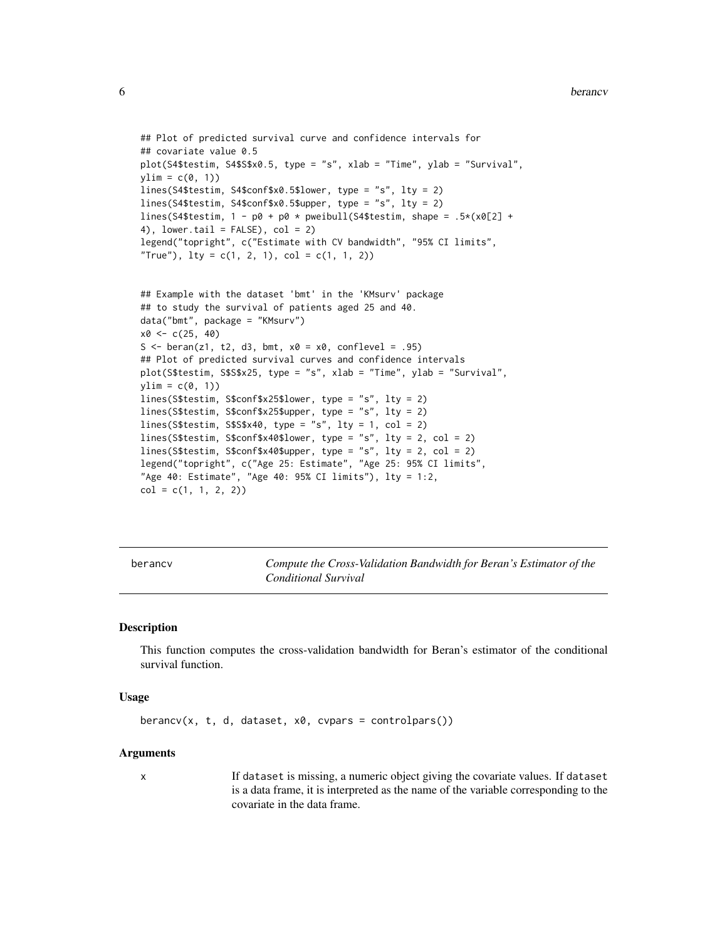```
## Plot of predicted survival curve and confidence intervals for
## covariate value 0.5
plot(S4$testim, S4$S$x0.5, type = "s", xlab = "Time", ylab = "Survival",
ylim = c(0, 1)lines(S4$testim, S4$conf$x0.5$lower, type = "s", lty = 2)
lines(S4$testim, S4$conf$x0.5$upper, type = "s", lty = 2)
lines(S4$testim, 1 - p0 + p0 * pweibull(S4$testim, shape = .5*(x0[2] +
4), lower.tail = FALSE, col = 2)
legend("topright", c("Estimate with CV bandwidth", "95% CI limits",
"True"), lty = c(1, 2, 1), col = c(1, 1, 2)## Example with the dataset 'bmt' in the 'KMsurv' package
## to study the survival of patients aged 25 and 40.
data("bmt", package = "KMsurv")
```

```
x0 <- c(25, 40)
S <- beran(z1, t2, d3, bmt, x0 = x0, conflevel = .95)
## Plot of predicted survival curves and confidence intervals
plot(S$testim, S$S$x25, type = "s", xlab = "Time", ylab = "Survival",
ylim = c(0, 1)lines(S$testim, S$conf$x25$lower, type = "s", lty = 2)
lines(S$testim, S$conf$x25$upper, type = "s", lty = 2)
lines(S$testim, S$S$x40, type = "s", lty = 1, col = 2)
lines(S$testim, S$conf$x40$lower, type = "s", lty = 2, col = 2)
lines(S$testim, S$conf$x40$upper, type = "s", lty = 2, col = 2)
legend("topright", c("Age 25: Estimate", "Age 25: 95% CI limits",
"Age 40: Estimate", "Age 40: 95% CI limits"), lty = 1:2,
col = c(1, 1, 2, 2)
```
<span id="page-5-1"></span>berancv *Compute the Cross-Validation Bandwidth for Beran's Estimator of the Conditional Survival*

#### Description

This function computes the cross-validation bandwidth for Beran's estimator of the conditional survival function.

#### Usage

```
\frac{1}{2} berancv(x, t, d, dataset, x0, cvpars = controlpars())
```
#### Arguments

x If dataset is missing, a numeric object giving the covariate values. If dataset is a data frame, it is interpreted as the name of the variable corresponding to the covariate in the data frame.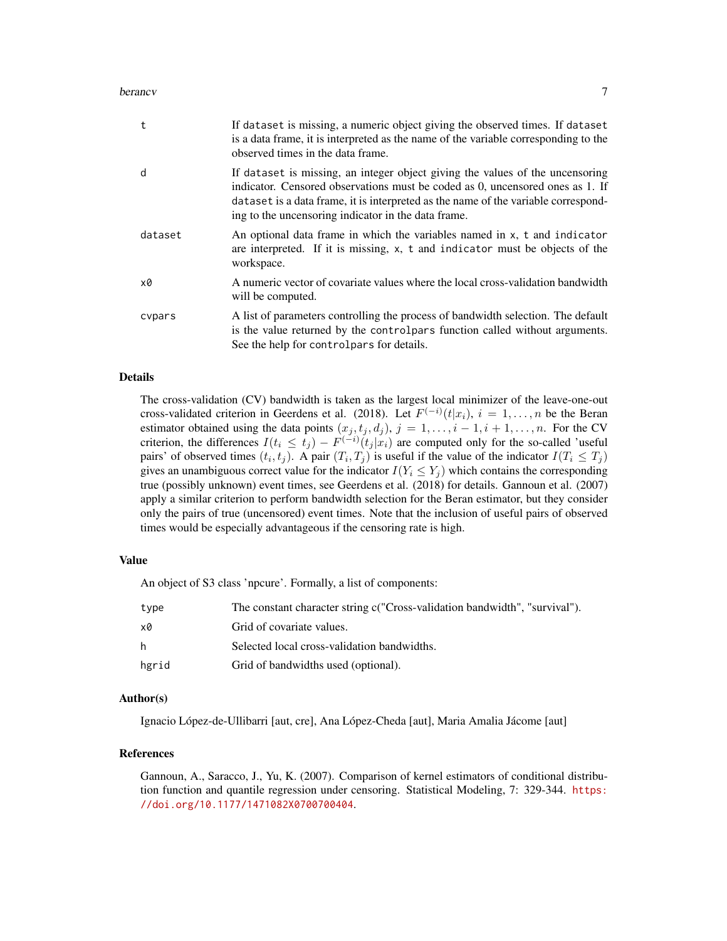#### berancv 7

| t       | If dataset is missing, a numeric object giving the observed times. If dataset<br>is a data frame, it is interpreted as the name of the variable corresponding to the<br>observed times in the data frame.                                                                                                   |
|---------|-------------------------------------------------------------------------------------------------------------------------------------------------------------------------------------------------------------------------------------------------------------------------------------------------------------|
| d       | If dataset is missing, an integer object giving the values of the uncensoring<br>indicator. Censored observations must be coded as 0, uncensored ones as 1. If<br>dataset is a data frame, it is interpreted as the name of the variable correspond-<br>ing to the uncensoring indicator in the data frame. |
| dataset | An optional data frame in which the variables named in x, t and indicator<br>are interpreted. If it is missing, x, t and indicator must be objects of the<br>workspace.                                                                                                                                     |
| x0      | A numeric vector of covariate values where the local cross-validation bandwidth<br>will be computed.                                                                                                                                                                                                        |
| cypars  | A list of parameters controlling the process of bandwidth selection. The default<br>is the value returned by the control part function called without arguments.<br>See the help for controlpars for details.                                                                                               |

#### Details

The cross-validation (CV) bandwidth is taken as the largest local minimizer of the leave-one-out cross-validated criterion in Geerdens et al. (2018). Let  $F^{(-i)}(t|x_i)$ ,  $i = 1, ..., n$  be the Beran estimator obtained using the data points  $(x_j, t_j, d_j)$ ,  $j = 1, \ldots, i - 1, i + 1, \ldots, n$ . For the CV criterion, the differences  $I(t_i \leq t_j) - F^{(-i)}(t_j | x_i)$  are computed only for the so-called 'useful pairs' of observed times  $(t_i, t_j)$ . A pair  $(T_i, T_j)$  is useful if the value of the indicator  $I(T_i \leq T_j)$ gives an unambiguous correct value for the indicator  $I(Y_i \leq Y_j)$  which contains the corresponding true (possibly unknown) event times, see Geerdens et al. (2018) for details. Gannoun et al. (2007) apply a similar criterion to perform bandwidth selection for the Beran estimator, but they consider only the pairs of true (uncensored) event times. Note that the inclusion of useful pairs of observed times would be especially advantageous if the censoring rate is high.

#### Value

An object of S3 class 'npcure'. Formally, a list of components:

| type  | The constant character string c("Cross-validation bandwidth", "survival"). |
|-------|----------------------------------------------------------------------------|
| x0    | Grid of covariate values.                                                  |
| h     | Selected local cross-validation bandwidths.                                |
| hgrid | Grid of bandwidths used (optional).                                        |

#### Author(s)

Ignacio López-de-Ullibarri [aut, cre], Ana López-Cheda [aut], Maria Amalia Jácome [aut]

# References

Gannoun, A., Saracco, J., Yu, K. (2007). Comparison of kernel estimators of conditional distribution function and quantile regression under censoring. Statistical Modeling, 7: 329-344. [https:](https://doi.org/10.1177/1471082X0700700404) [//doi.org/10.1177/1471082X0700700404](https://doi.org/10.1177/1471082X0700700404).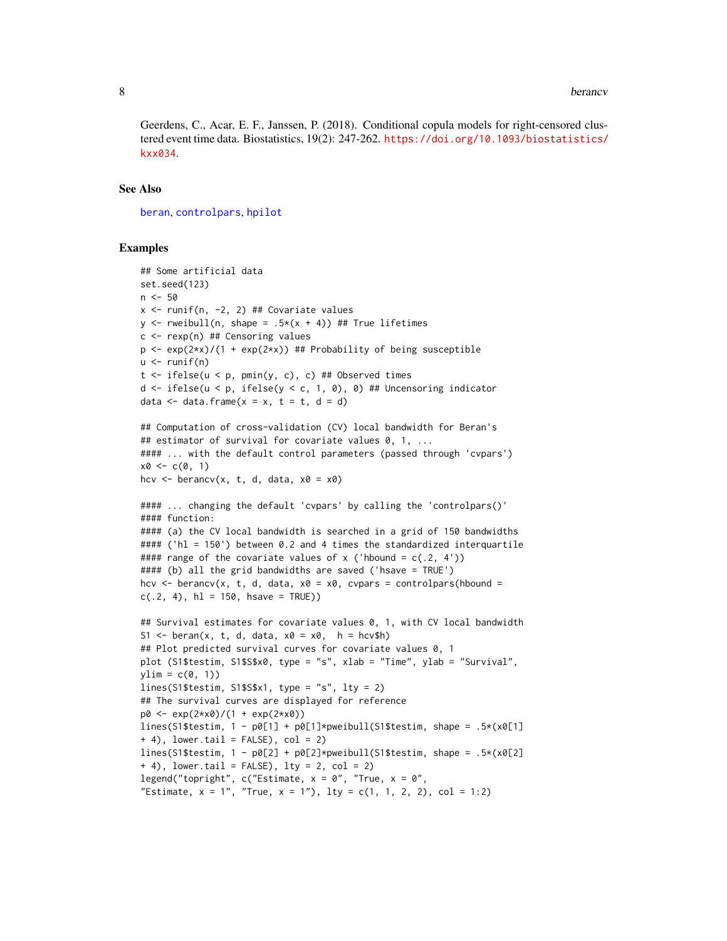<span id="page-7-0"></span>Geerdens, C., Acar, E. F., Janssen, P. (2018). Conditional copula models for right-censored clustered event time data. Biostatistics, 19(2): 247-262. [https://doi.org/10.1093/biostatistics/](https://doi.org/10.1093/biostatistics/kxx034) [kxx034](https://doi.org/10.1093/biostatistics/kxx034).

# See Also

[beran](#page-2-1), [controlpars](#page-8-1), [hpilot](#page-10-1)

```
## Some artificial data
set.seed(123)
n < -50x \le runif(n, -2, 2) ## Covariate values
y \le - rweibull(n, shape = .5*(x + 4)) ## True lifetimes
c \leq -\text{resp}(n) ## Censoring values
p \leq -\exp(2*x)/(1 + \exp(2*x)) ## Probability of being susceptible
u \leftarrow runif(n)t \le ifelse(u \le p, pmin(y, c), c) ## Observed times
d <- ifelse(u \le p, ifelse(y \le c, 1, 0), 0) ## Uncensoring indicator
data \leq data.frame(x = x, t = t, d = d)
## Computation of cross-validation (CV) local bandwidth for Beran's
## estimator of survival for covariate values 0, 1, ...
#### ... with the default control parameters (passed through 'cvpars')
x0 \leq -c(0, 1)hcv \langle -\rangle berancv(x, t, d, data, x0 = x0)
#### ... changing the default 'cvpars' by calling the 'controlpars()'
#### function:
#### (a) the CV local bandwidth is searched in a grid of 150 bandwidths
#### ('hl = 150') between 0.2 and 4 times the standardized interquartile
#### range of the covariate values of x ('hbound = c(.2, 4'))#### (b) all the grid bandwidths are saved ('hsave = TRUE')
hcv \le berancv(x, t, d, data, x0 = x0, cvpars = controlpars(hbound =
c(.2, 4), h1 = 150, hsave = TRUE)## Survival estimates for covariate values 0, 1, with CV local bandwidth
S1 \leq beran(x, t, d, data, x0 = x0, h = hcv$h)
## Plot predicted survival curves for covariate values 0, 1
plot (S1$testim, S1$S$x0, type = "s", xlab = "Time", ylab = "Survival",
ylim = c(0, 1)lines(S1$testim, S1$S$x1, type = "s", lty = 2)
## The survival curves are displayed for reference
p0 <- exp(2*x0)/(1 + exp(2*x0))
lines(S1$testim, 1 - p0[1] + p0[1]*pweibull(S1$testim, shape = .5*(x0[1]
+ 4), lower.tail = FALSE), col = 2)
lines(S1$testim, 1 - p0[2] + p0[2]*pweibull(S1$testim, shape = .5*(x0[2]
+ 4), lower.tail = FALSE), lty = 2, col = 2)
legend("topright", c("Estimate, x = 0", "True, x = 0",
"Estimate, x = 1", "True, x = 1"), lty = c(1, 1, 2, 2), col = 1:2)
```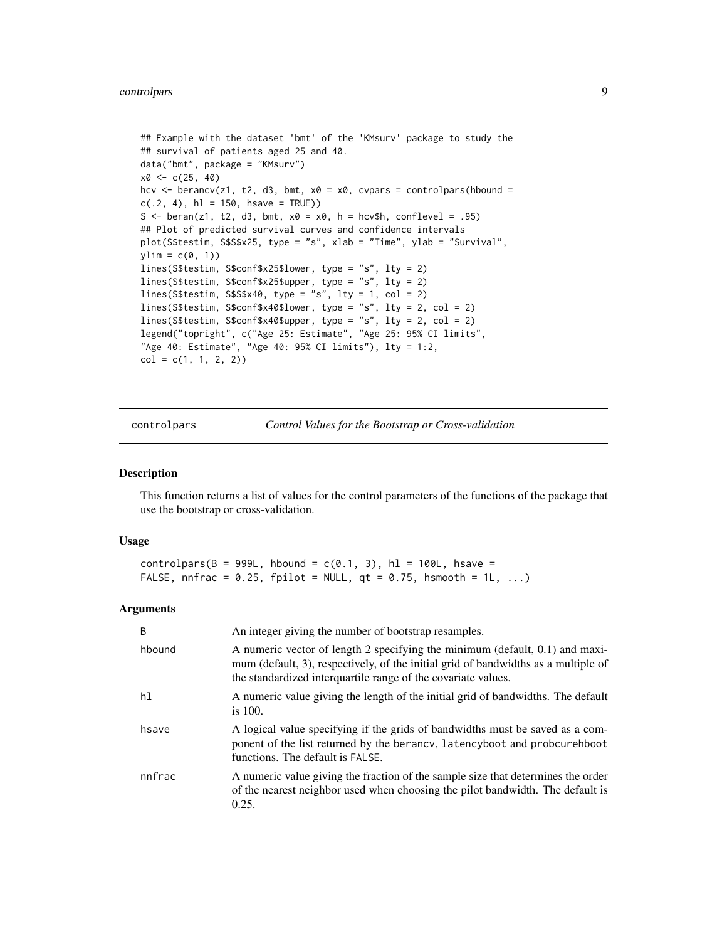# <span id="page-8-0"></span>controlpars 9

```
## Example with the dataset 'bmt' of the 'KMsurv' package to study the
## survival of patients aged 25 and 40.
data("bmt", package = "KMsurv")
x0 \leq -c(25, 40)hcv <- berancv(z1, t2, d3, bmt, x0 = x0, cvpars = controlpars(hbound =
c(.2, 4), h1 = 150, hsave = TRUE)S <- beran(z1, t2, d3, bmt, x0 = x0, h = hcv$h, conflevel = .95)
## Plot of predicted survival curves and confidence intervals
plot(S$testim, S$S$x25, type = "s", xlab = "Time", ylab = "Survival",
ylim = c(0, 1)lines(S$testim, S$conf$x25$lower, type = "s", lty = 2)
lines(S$testim, S$conf$x25$upper, type = "s", lty = 2)
lines(S$testim, S$S$x40, type = "s", lty = 1, col = 2)
lines(S$testim, S$conf$x40$lower, type = "s", lty = 2, col = 2)
lines(S$testim, S$conf$x40$upper, type = "s", lty = 2, col = 2)
legend("topright", c("Age 25: Estimate", "Age 25: 95% CI limits",
"Age 40: Estimate", "Age 40: 95% CI limits"), lty = 1:2,
col = c(1, 1, 2, 2)
```
<span id="page-8-1"></span>controlpars *Control Values for the Bootstrap or Cross-validation*

#### Description

This function returns a list of values for the control parameters of the functions of the package that use the bootstrap or cross-validation.

#### Usage

```
controlpars(B = 999L, hbound = c(0.1, 3), hl = 100L, hsave =
FALSE, nnfrac = 0.25, fpilot = NULL, qt = 0.75, hsmooth = 1L, ...)
```
# **Arguments**

| B      | An integer giving the number of bootstrap resamples.                                                                                                                                                                                |
|--------|-------------------------------------------------------------------------------------------------------------------------------------------------------------------------------------------------------------------------------------|
| hbound | A numeric vector of length 2 specifying the minimum (default, 0.1) and maxi-<br>mum (default, 3), respectively, of the initial grid of bandwidths as a multiple of<br>the standardized interquartile range of the covariate values. |
| h1     | A numeric value giving the length of the initial grid of bandwidths. The default<br>is 100.                                                                                                                                         |
| hsave  | A logical value specifying if the grids of bandwidths must be saved as a com-<br>ponent of the list returned by the berancy, latencyboot and probcurehboot<br>functions. The default is FALSE.                                      |
| nnfrac | A numeric value giving the fraction of the sample size that determines the order<br>of the nearest neighbor used when choosing the pilot bandwidth. The default is<br>0.25.                                                         |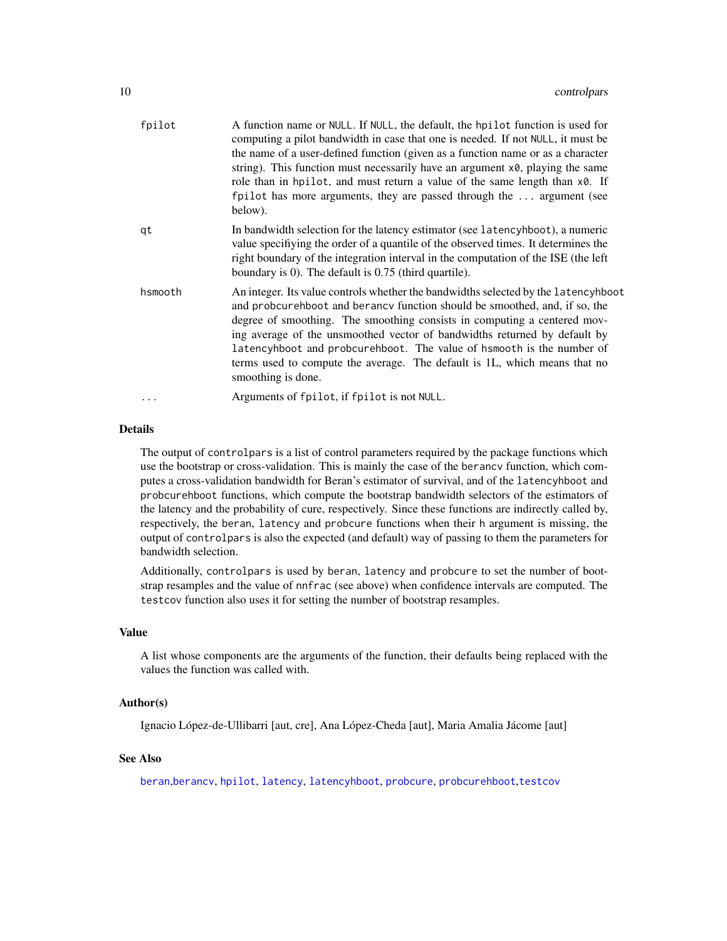<span id="page-9-0"></span>

| fpilot  | A function name or NULL. If NULL, the default, the higher function is used for<br>computing a pilot bandwidth in case that one is needed. If not NULL, it must be<br>the name of a user-defined function (given as a function name or as a character<br>string). This function must necessarily have an argument x0, playing the same<br>role than in hpilot, and must return a value of the same length than x0. If<br>fpilot has more arguments, they are passed through the  argument (see<br>below). |
|---------|----------------------------------------------------------------------------------------------------------------------------------------------------------------------------------------------------------------------------------------------------------------------------------------------------------------------------------------------------------------------------------------------------------------------------------------------------------------------------------------------------------|
| qt      | In bandwidth selection for the latency estimator (see latencyhboot), a numeric<br>value specifiying the order of a quantile of the observed times. It determines the<br>right boundary of the integration interval in the computation of the ISE (the left<br>boundary is $0$ ). The default is $0.75$ (third quartile).                                                                                                                                                                                 |
| hsmooth | An integer. Its value controls whether the bandwidths selected by the latencyhboot<br>and probcurehboot and berancy function should be smoothed, and, if so, the<br>degree of smoothing. The smoothing consists in computing a centered mov-<br>ing average of the unsmoothed vector of bandwidths returned by default by<br>latencyhboot and probcurehboot. The value of hsmooth is the number of<br>terms used to compute the average. The default is 1L, which means that no<br>smoothing is done.    |
| .       | Arguments of fpilot, if fpilot is not NULL.                                                                                                                                                                                                                                                                                                                                                                                                                                                              |

#### Details

The output of controlpars is a list of control parameters required by the package functions which use the bootstrap or cross-validation. This is mainly the case of the berancv function, which computes a cross-validation bandwidth for Beran's estimator of survival, and of the latencyhboot and probcurehboot functions, which compute the bootstrap bandwidth selectors of the estimators of the latency and the probability of cure, respectively. Since these functions are indirectly called by, respectively, the beran, latency and probcure functions when their h argument is missing, the output of controlpars is also the expected (and default) way of passing to them the parameters for bandwidth selection.

Additionally, controlpars is used by beran, latency and probcure to set the number of bootstrap resamples and the value of nnfrac (see above) when confidence intervals are computed. The testcov function also uses it for setting the number of bootstrap resamples.

#### Value

A list whose components are the arguments of the function, their defaults being replaced with the values the function was called with.

#### Author(s)

Ignacio López-de-Ullibarri [aut, cre], Ana López-Cheda [aut], Maria Amalia Jácome [aut]

# See Also

[beran](#page-2-1),[berancv](#page-5-1), [hpilot](#page-10-1), [latency](#page-11-1), [latencyhboot](#page-15-1), [probcure](#page-19-1), [probcurehboot](#page-22-1),[testcov](#page-27-1)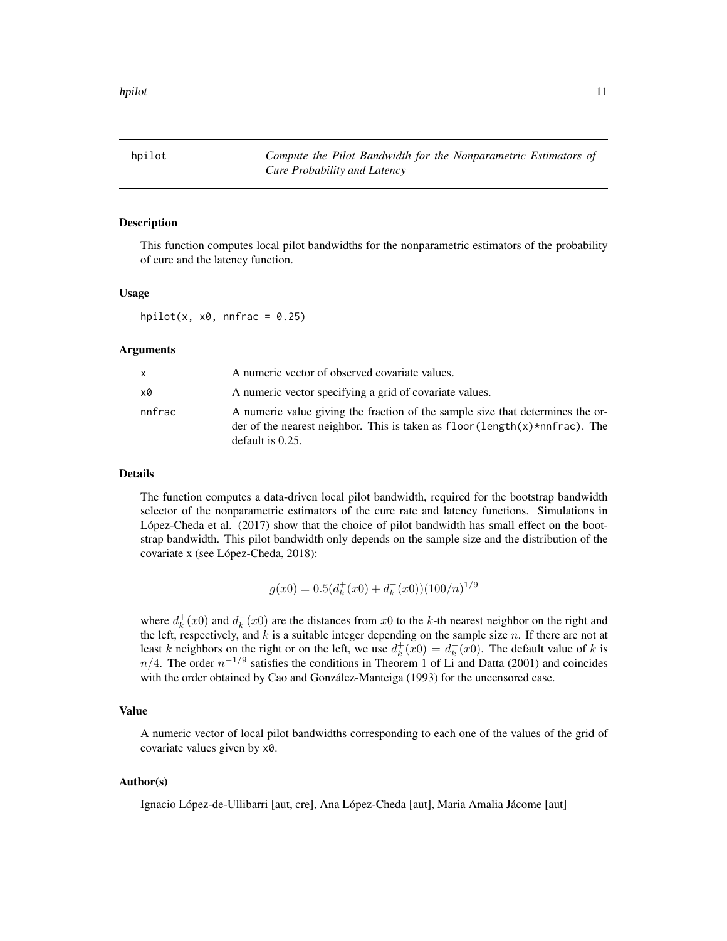<span id="page-10-1"></span><span id="page-10-0"></span>hpilot *Compute the Pilot Bandwidth for the Nonparametric Estimators of Cure Probability and Latency*

#### Description

This function computes local pilot bandwidths for the nonparametric estimators of the probability of cure and the latency function.

#### Usage

hpilot(x,  $x0$ , nnfrac = 0.25)

#### Arguments

| X.     | A numeric vector of observed covariate values.                                                                                                                                         |
|--------|----------------------------------------------------------------------------------------------------------------------------------------------------------------------------------------|
| x0     | A numeric vector specifying a grid of covariate values.                                                                                                                                |
| nnfrac | A numeric value giving the fraction of the sample size that determines the or-<br>der of the nearest neighbor. This is taken as $floor(length(x)*nnfrac)$ . The<br>default is $0.25$ . |

#### Details

The function computes a data-driven local pilot bandwidth, required for the bootstrap bandwidth selector of the nonparametric estimators of the cure rate and latency functions. Simulations in López-Cheda et al. (2017) show that the choice of pilot bandwidth has small effect on the bootstrap bandwidth. This pilot bandwidth only depends on the sample size and the distribution of the covariate x (see López-Cheda, 2018):

$$
g(x0) = 0.5(d_k^+(x0) + d_k^-(x0))(100/n)^{1/9}
$$

where  $d_k^+(x_0)$  and  $d_k^-(x_0)$  are the distances from  $x_0$  to the k-th nearest neighbor on the right and the left, respectively, and  $k$  is a suitable integer depending on the sample size  $n$ . If there are not at least k neighbors on the right or on the left, we use  $d_k^+(x_0) = d_k^-(x_0)$ . The default value of k is  $n/4$ . The order  $n^{-1/9}$  satisfies the conditions in Theorem 1 of Li and Datta (2001) and coincides with the order obtained by Cao and González-Manteiga (1993) for the uncensored case.

# Value

A numeric vector of local pilot bandwidths corresponding to each one of the values of the grid of covariate values given by x0.

# Author(s)

Ignacio López-de-Ullibarri [aut, cre], Ana López-Cheda [aut], Maria Amalia Jácome [aut]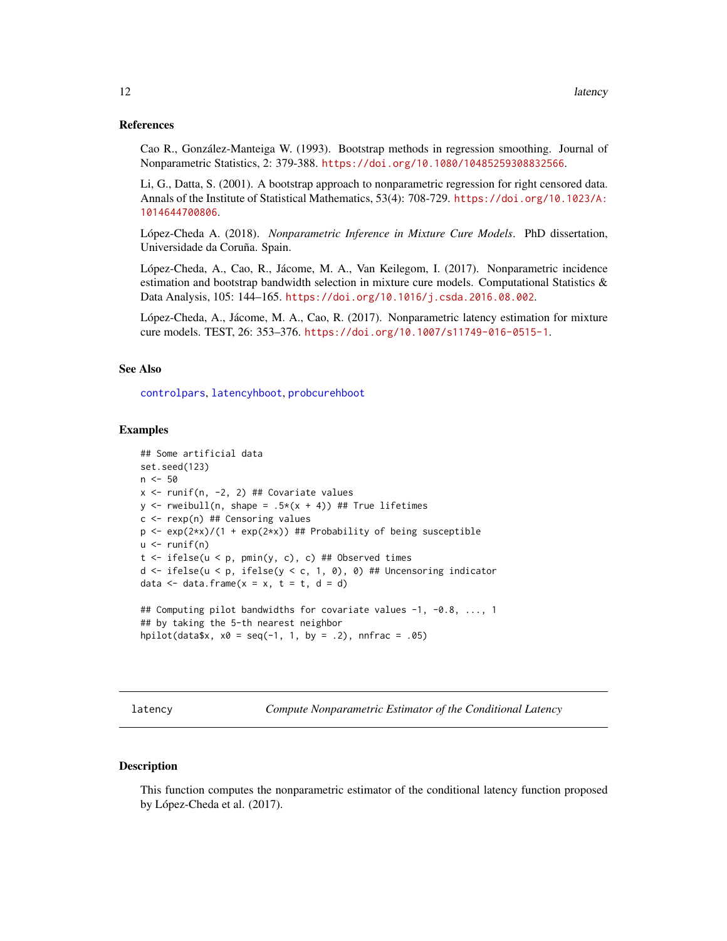#### <span id="page-11-0"></span>References

Cao R., González-Manteiga W. (1993). Bootstrap methods in regression smoothing. Journal of Nonparametric Statistics, 2: 379-388. <https://doi.org/10.1080/10485259308832566>.

Li, G., Datta, S. (2001). A bootstrap approach to nonparametric regression for right censored data. Annals of the Institute of Statistical Mathematics, 53(4): 708-729. [https://doi.org/10.1023/A:](https://doi.org/10.1023/A:1014644700806) [1014644700806](https://doi.org/10.1023/A:1014644700806).

López-Cheda A. (2018). *Nonparametric Inference in Mixture Cure Models*. PhD dissertation, Universidade da Coruña. Spain.

López-Cheda, A., Cao, R., Jácome, M. A., Van Keilegom, I. (2017). Nonparametric incidence estimation and bootstrap bandwidth selection in mixture cure models. Computational Statistics  $\&$ Data Analysis, 105: 144–165. <https://doi.org/10.1016/j.csda.2016.08.002>.

López-Cheda, A., Jácome, M. A., Cao, R. (2017). Nonparametric latency estimation for mixture cure models. TEST, 26: 353–376. <https://doi.org/10.1007/s11749-016-0515-1>.

#### See Also

[controlpars](#page-8-1), [latencyhboot](#page-15-1), [probcurehboot](#page-22-1)

# Examples

```
## Some artificial data
set.seed(123)
n < -50x \le runif(n, -2, 2) ## Covariate values
y \le rweibull(n, shape = .5*(x + 4)) ## True lifetimes
c \leq -\text{resp}(n) ## Censoring values
p \leq -\exp(2*x)/(1 + \exp(2*x)) ## Probability of being susceptible
u \leftarrow runif(n)t \le ifelse(u \le p, pmin(y, c), c) ## Observed times
d <- ifelse(u < p, ifelse(y < c, 1, 0), 0) ## Uncensoring indicator
data \leq data.frame(x = x, t = t, d = d)
## Computing pilot bandwidths for covariate values -1, -0.8, ..., 1
## by taking the 5-th nearest neighbor
hpilot(data$x, x0 = \text{seq}(-1, 1, \text{ by } = .2), nnfrac = .05)
```
<span id="page-11-1"></span>latency *Compute Nonparametric Estimator of the Conditional Latency*

# **Description**

This function computes the nonparametric estimator of the conditional latency function proposed by López-Cheda et al. (2017).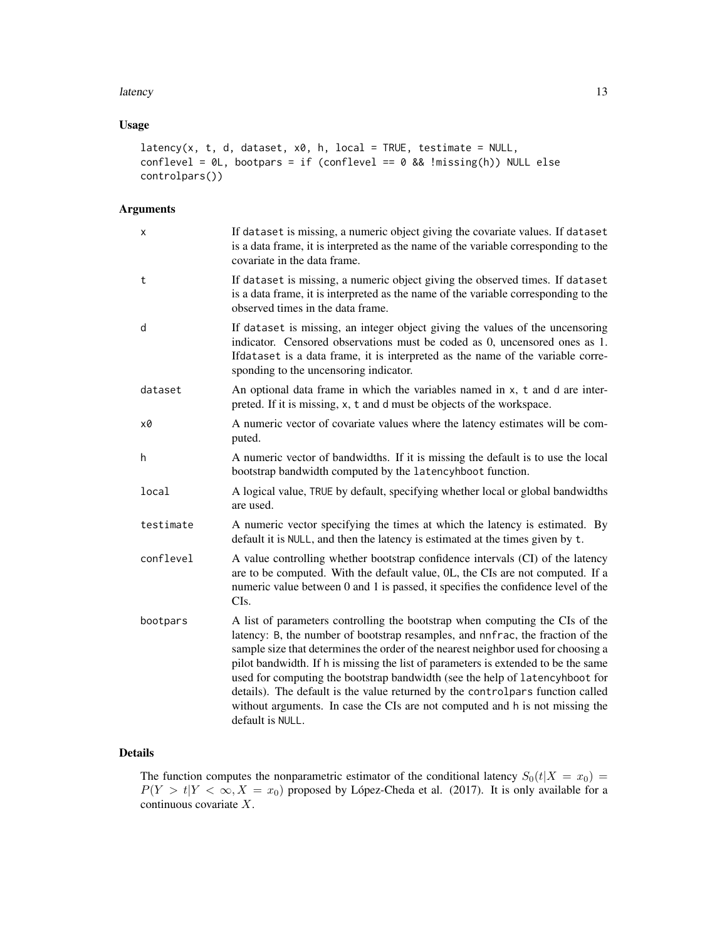#### latency and the state of the state of the state of the state of the state of the state of the state of the state of the state of the state of the state of the state of the state of the state of the state of the state of th

# Usage

```
latency(x, t, d, dataset, x0, h, local = TRUE, testimate = NULL,conflevel = OL, bootpars = if (conflevel == 0 && !missing(h)) NULL else
controlpars())
```
# Arguments

| X         | If dataset is missing, a numeric object giving the covariate values. If dataset<br>is a data frame, it is interpreted as the name of the variable corresponding to the<br>covariate in the data frame.                                                                                                                                                                                                                                                                                                                                                                                                          |
|-----------|-----------------------------------------------------------------------------------------------------------------------------------------------------------------------------------------------------------------------------------------------------------------------------------------------------------------------------------------------------------------------------------------------------------------------------------------------------------------------------------------------------------------------------------------------------------------------------------------------------------------|
| t         | If dataset is missing, a numeric object giving the observed times. If dataset<br>is a data frame, it is interpreted as the name of the variable corresponding to the<br>observed times in the data frame.                                                                                                                                                                                                                                                                                                                                                                                                       |
| d         | If dataset is missing, an integer object giving the values of the uncensoring<br>indicator. Censored observations must be coded as 0, uncensored ones as 1.<br>Ifdataset is a data frame, it is interpreted as the name of the variable corre-<br>sponding to the uncensoring indicator.                                                                                                                                                                                                                                                                                                                        |
| dataset   | An optional data frame in which the variables named in x, t and d are inter-<br>preted. If it is missing, x, t and d must be objects of the workspace.                                                                                                                                                                                                                                                                                                                                                                                                                                                          |
| x0        | A numeric vector of covariate values where the latency estimates will be com-<br>puted.                                                                                                                                                                                                                                                                                                                                                                                                                                                                                                                         |
| h         | A numeric vector of bandwidths. If it is missing the default is to use the local<br>bootstrap bandwidth computed by the latencyhboot function.                                                                                                                                                                                                                                                                                                                                                                                                                                                                  |
| local     | A logical value, TRUE by default, specifying whether local or global bandwidths<br>are used.                                                                                                                                                                                                                                                                                                                                                                                                                                                                                                                    |
| testimate | A numeric vector specifying the times at which the latency is estimated. By<br>default it is NULL, and then the latency is estimated at the times given by t.                                                                                                                                                                                                                                                                                                                                                                                                                                                   |
| conflevel | A value controlling whether bootstrap confidence intervals (CI) of the latency<br>are to be computed. With the default value, OL, the CIs are not computed. If a<br>numeric value between 0 and 1 is passed, it specifies the confidence level of the<br>CIs.                                                                                                                                                                                                                                                                                                                                                   |
| bootpars  | A list of parameters controlling the bootstrap when computing the CIs of the<br>latency: B, the number of bootstrap resamples, and nnfrac, the fraction of the<br>sample size that determines the order of the nearest neighbor used for choosing a<br>pilot bandwidth. If h is missing the list of parameters is extended to be the same<br>used for computing the bootstrap bandwidth (see the help of latencyhboot for<br>details). The default is the value returned by the controlpars function called<br>without arguments. In case the CIs are not computed and h is not missing the<br>default is NULL. |

# Details

The function computes the nonparametric estimator of the conditional latency  $S_0(t|X = x_0)$  =  $P(Y > t | Y < \infty, X = x_0)$  proposed by López-Cheda et al. (2017). It is only available for a continuous covariate X.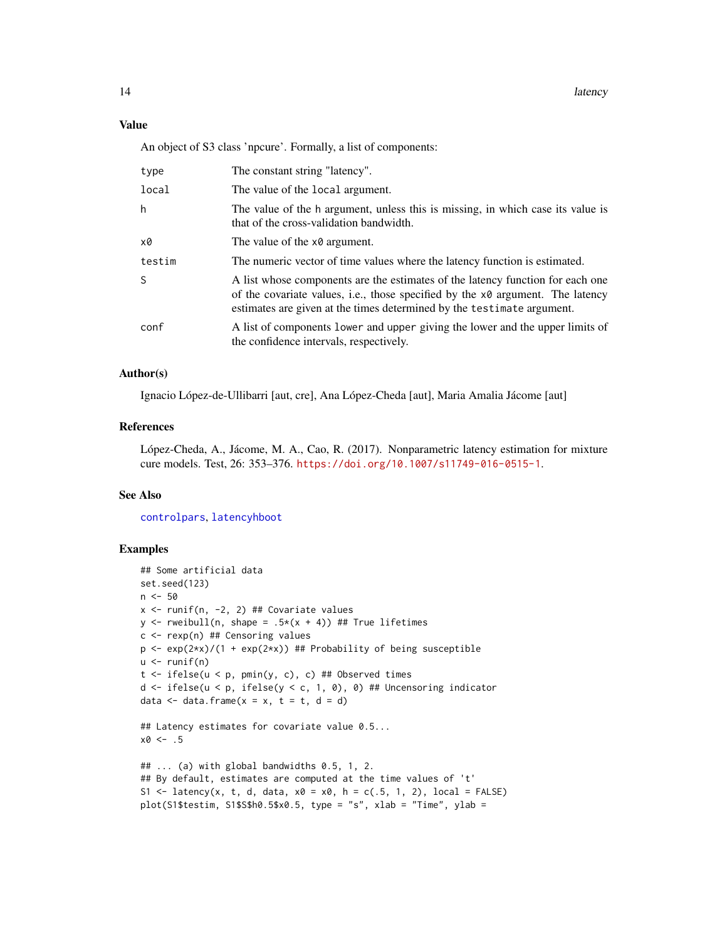# <span id="page-13-0"></span>Value

An object of S3 class 'npcure'. Formally, a list of components:

| type   | The constant string "latency".                                                                                                                                                                                                                    |
|--------|---------------------------------------------------------------------------------------------------------------------------------------------------------------------------------------------------------------------------------------------------|
| local  | The value of the local argument.                                                                                                                                                                                                                  |
| h      | The value of the h argument, unless this is missing, in which case its value is<br>that of the cross-validation bandwidth.                                                                                                                        |
| x0     | The value of the x0 argument.                                                                                                                                                                                                                     |
| testim | The numeric vector of time values where the latency function is estimated.                                                                                                                                                                        |
| S      | A list whose components are the estimates of the latency function for each one<br>of the covariate values, i.e., those specified by the $x\theta$ argument. The latency<br>estimates are given at the times determined by the testimate argument. |
| conf   | A list of components lower and upper giving the lower and the upper limits of<br>the confidence intervals, respectively.                                                                                                                          |

#### Author(s)

Ignacio López-de-Ullibarri [aut, cre], Ana López-Cheda [aut], Maria Amalia Jácome [aut]

# References

López-Cheda, A., Jácome, M. A., Cao, R. (2017). Nonparametric latency estimation for mixture cure models. Test, 26: 353–376. <https://doi.org/10.1007/s11749-016-0515-1>.

#### See Also

[controlpars](#page-8-1), [latencyhboot](#page-15-1)

```
## Some artificial data
set.seed(123)
n < -50x \le runif(n, -2, 2) ## Covariate values
y \le rweibull(n, shape = .5*(x + 4)) ## True lifetimes
c \leq -\text{rexp}(n) ## Censoring values
p \leq -\exp(2*x)/(1 + \exp(2*x)) ## Probability of being susceptible
u \leftarrow runif(n)t \le ifelse(u \le p, pmin(y, c), c) ## Observed times
d <- ifelse(u < p, ifelse(y < c, 1, 0), 0) ## Uncensoring indicator
data \leq data.frame(x = x, t = t, d = d)
## Latency estimates for covariate value 0.5...
x0 < - .5## ... (a) with global bandwidths 0.5, 1, 2.
## By default, estimates are computed at the time values of 't'
S1 \le latency(x, t, d, data, x0 = x0, h = c(.5, 1, 2), local = FALSE)
plot(S1$testim, S1$S$h0.5$x0.5, type = "s", xlab = "Time", ylab =
```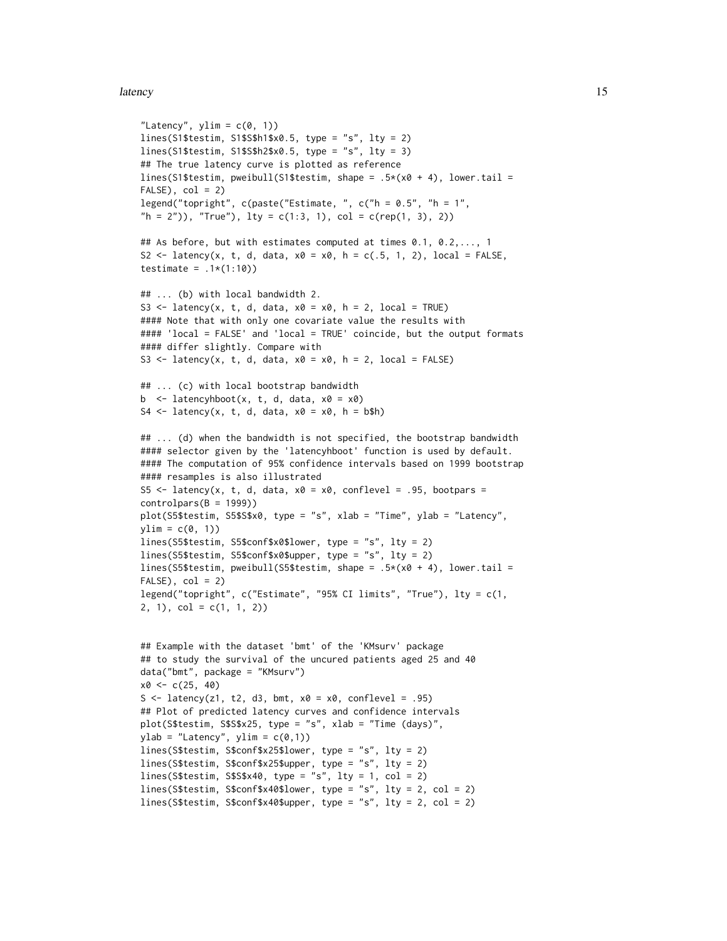#### latency and the state of the state of the state of the state of the state of the state of the state of the state of the state of the state of the state of the state of the state of the state of the state of the state of th

```
"Latency", ylim = c(0, 1))
lines(S1$testim, S1$S$h1$x0.5, type = "s", lty = 2)
lines(S1$testim, S1$S$h2$x0.5, type = "s", lty = 3)
## The true latency curve is plotted as reference
lines(S1$testim, pweibull(S1$testim, shape = .5*(x0 + 4), lower.tail =
FALSE, col = 2legend("topright", c(paste("Estimate, ", c("h = 0.5", "h = 1",
"h = 2")), "True"), lty = c(1:3, 1), col = c(rep(1, 3), 2))
## As before, but with estimates computed at times 0.1, 0.2,..., 1
S2 <- latency(x, t, d, data, x0 = x0, h = c(.5, 1, 2), local = FALSE,
testimate = .1*(1:10))
## ... (b) with local bandwidth 2.
S3 <- latency(x, t, d, data, x0 = x0, h = 2, local = TRUE)
#### Note that with only one covariate value the results with
#### 'local = FALSE' and 'local = TRUE' coincide, but the output formats
#### differ slightly. Compare with
S3 <- latency(x, t, d, data, x0 = x0, h = 2, local = FALSE)
## ... (c) with local bootstrap bandwidth
b \leq latencyhboot(x, t, d, data, x0 = x0)
S4 <- latency(x, t, d, data, x0 = x0, h = b$h)
## ... (d) when the bandwidth is not specified, the bootstrap bandwidth
#### selector given by the 'latencyhboot' function is used by default.
#### The computation of 95% confidence intervals based on 1999 bootstrap
#### resamples is also illustrated
S5 <- latency(x, t, d, data, x0 = x0, conflevel = .95, bootpars =
controlpars(B = 1999))plot(S5$testim, S5$S$x0, type = "s", xlab = "Time", ylab = "Latency",
ylim = c(0, 1)lines(S5$testim, S5$conf$x0$lower, type = "s", lty = 2)
lines(S5$testim, S5$conf$x0$upper, type = "s", lty = 2)
lines(S5$testim, pweibull(S5$testim, shape = .5*(x0 + 4), lower.tail =
FALSE, col = 2legend("topright", c("Estimate", "95% CI limits", "True"), lty = c(1,
2, 1), col = c(1, 1, 2)## Example with the dataset 'bmt' of the 'KMsurv' package
## to study the survival of the uncured patients aged 25 and 40
data("bmt", package = "KMsurv")
x0 \leq -c(25, 40)S <- latency(z1, t2, d3, bmt, x0 = x0, conflevel = .95)
## Plot of predicted latency curves and confidence intervals
plot(S$testim, S$S$x25, type = "s", xlab = "Time (days)",
ylab = "Latency", ylim = c(0,1))
lines(S$testim, S$conf$x25$lower, type = "s", lty = 2)
lines(S$testim, S$conf$x25$upper, type = "s", lty = 2)
lines(S$testim, S$S$x40, type = "s", lty = 1, col = 2)
lines(S$testim, S$conf$x40$lower, type = "s", lty = 2, col = 2)
lines(S$testim, S$conf$x40$upper, type = "s", lty = 2, col = 2)
```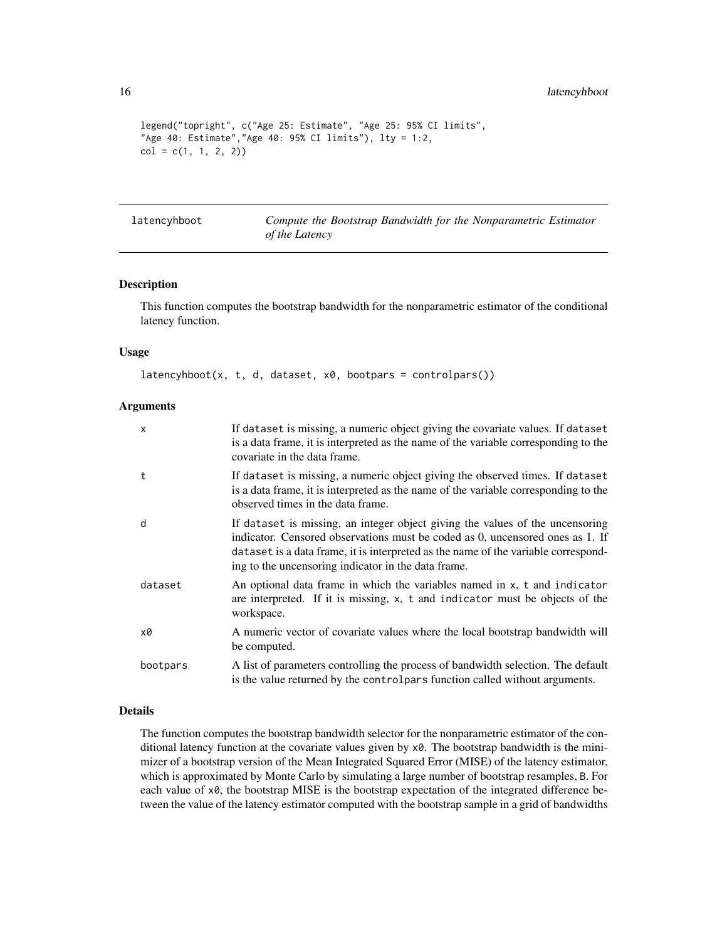```
legend("topright", c("Age 25: Estimate", "Age 25: 95% CI limits",
"Age 40: Estimate","Age 40: 95% CI limits"), lty = 1:2,
col = c(1, 1, 2, 2)
```
<span id="page-15-1"></span>latencyhboot *Compute the Bootstrap Bandwidth for the Nonparametric Estimator of the Latency*

# Description

This function computes the bootstrap bandwidth for the nonparametric estimator of the conditional latency function.

#### Usage

 $latencyhboot(x, t, d, dataset, x0, bootpars = controlpars())$ 

#### Arguments

| X        | If dataset is missing, a numeric object giving the covariate values. If dataset<br>is a data frame, it is interpreted as the name of the variable corresponding to the<br>covariate in the data frame.                                                                                                      |
|----------|-------------------------------------------------------------------------------------------------------------------------------------------------------------------------------------------------------------------------------------------------------------------------------------------------------------|
| t        | If dataset is missing, a numeric object giving the observed times. If dataset<br>is a data frame, it is interpreted as the name of the variable corresponding to the<br>observed times in the data frame.                                                                                                   |
| d        | If dataset is missing, an integer object giving the values of the uncensoring<br>indicator. Censored observations must be coded as 0, uncensored ones as 1. If<br>dataset is a data frame, it is interpreted as the name of the variable correspond-<br>ing to the uncensoring indicator in the data frame. |
| dataset  | An optional data frame in which the variables named in x, t and indicator<br>are interpreted. If it is missing, x, t and indicator must be objects of the<br>workspace.                                                                                                                                     |
| x0       | A numeric vector of covariate values where the local bootstrap bandwidth will<br>be computed.                                                                                                                                                                                                               |
| bootpars | A list of parameters controlling the process of bandwidth selection. The default<br>is the value returned by the control part function called without arguments.                                                                                                                                            |

#### Details

The function computes the bootstrap bandwidth selector for the nonparametric estimator of the conditional latency function at the covariate values given by  $x\theta$ . The bootstrap bandwidth is the minimizer of a bootstrap version of the Mean Integrated Squared Error (MISE) of the latency estimator, which is approximated by Monte Carlo by simulating a large number of bootstrap resamples, B. For each value of x0, the bootstrap MISE is the bootstrap expectation of the integrated difference between the value of the latency estimator computed with the bootstrap sample in a grid of bandwidths

<span id="page-15-0"></span>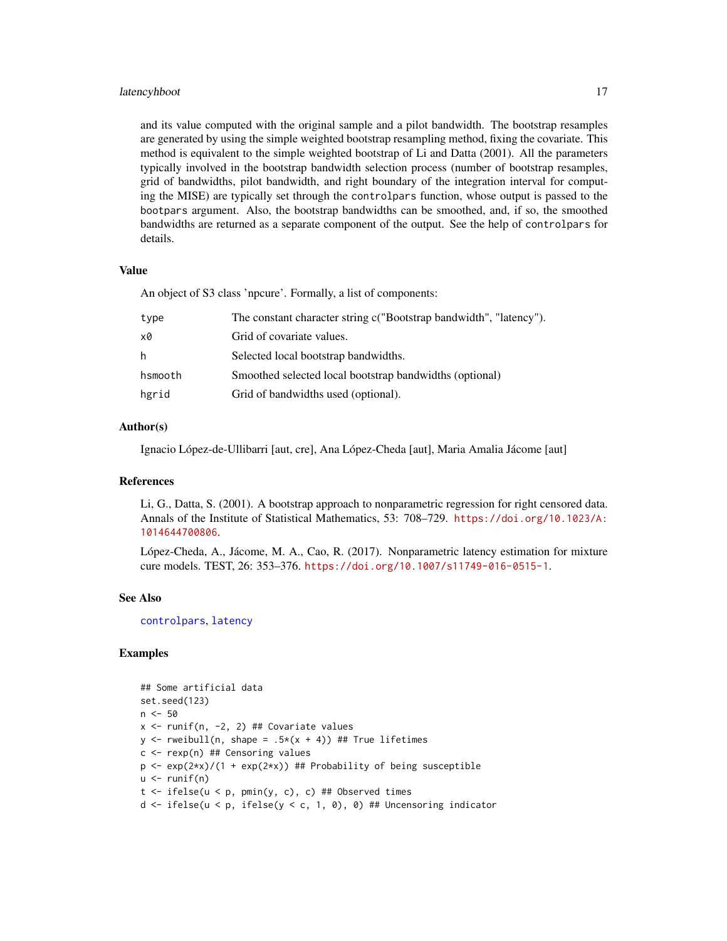#### <span id="page-16-0"></span>latencyhboot 17

and its value computed with the original sample and a pilot bandwidth. The bootstrap resamples are generated by using the simple weighted bootstrap resampling method, fixing the covariate. This method is equivalent to the simple weighted bootstrap of Li and Datta (2001). All the parameters typically involved in the bootstrap bandwidth selection process (number of bootstrap resamples, grid of bandwidths, pilot bandwidth, and right boundary of the integration interval for computing the MISE) are typically set through the controlpars function, whose output is passed to the bootpars argument. Also, the bootstrap bandwidths can be smoothed, and, if so, the smoothed bandwidths are returned as a separate component of the output. See the help of controlpars for details.

#### Value

An object of S3 class 'npcure'. Formally, a list of components:

| type    | The constant character string c("Bootstrap bandwidth", "latency"). |
|---------|--------------------------------------------------------------------|
| x0      | Grid of covariate values.                                          |
| h       | Selected local bootstrap bandwidths.                               |
| hsmooth | Smoothed selected local bootstrap bandwidths (optional)            |
| hgrid   | Grid of bandwidths used (optional).                                |
|         |                                                                    |

#### Author(s)

Ignacio López-de-Ullibarri [aut, cre], Ana López-Cheda [aut], Maria Amalia Jácome [aut]

#### References

Li, G., Datta, S. (2001). A bootstrap approach to nonparametric regression for right censored data. Annals of the Institute of Statistical Mathematics, 53: 708–729. [https://doi.org/10.1023/A:](https://doi.org/10.1023/A:1014644700806) [1014644700806](https://doi.org/10.1023/A:1014644700806).

López-Cheda, A., Jácome, M. A., Cao, R. (2017). Nonparametric latency estimation for mixture cure models. TEST, 26: 353–376. <https://doi.org/10.1007/s11749-016-0515-1>.

#### See Also

[controlpars](#page-8-1), [latency](#page-11-1)

```
## Some artificial data
set.seed(123)
n <- 50
x \le runif(n, -2, 2) ## Covariate values
y \le rweibull(n, shape = .5*(x + 4)) ## True lifetimes
c \leq -\text{resp}(n) ## Censoring values
p \leq -\exp(2*x)/(1 + \exp(2*x)) ## Probability of being susceptible
u \leftarrow runif(n)t \le ifelse(u \le p, pmin(y, c), c) ## Observed times
d <- ifelse(u < p, ifelse(y < c, 1, 0), 0) ## Uncensoring indicator
```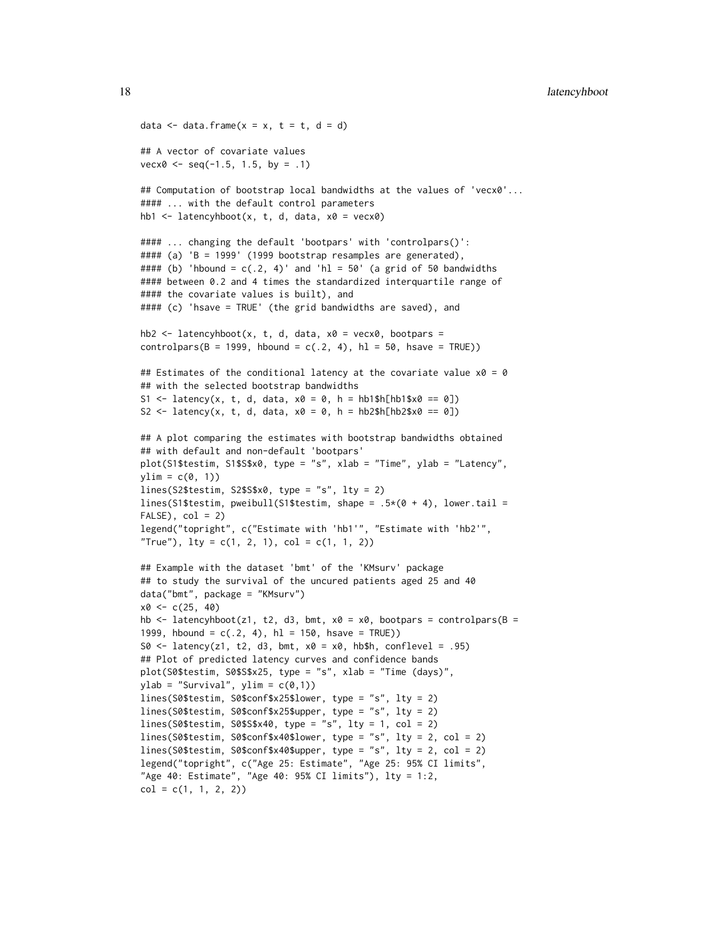```
data \leq data.frame(x = x, t = t, d = d)
## A vector of covariate values
\text{vec} \times 0 \leq -\text{seq}(-1.5, 1.5, \text{ by } = .1)## Computation of bootstrap local bandwidths at the values of 'vecx0'...
#### ... with the default control parameters
hb1 \le latencyhboot(x, t, d, data, x0 = vecx0)
#### ... changing the default 'bootpars' with 'controlpars()':
#### (a) 'B = 1999' (1999 bootstrap resamples are generated),
#### (b) 'hbound = c(.2, 4)' and 'hl = 50' (a grid of 50 bandwidths
#### between 0.2 and 4 times the standardized interquartile range of
#### the covariate values is built), and
#### (c) 'hsave = TRUE' (the grid bandwidths are saved), and
hb2 <- latencyhboot(x, t, d, data, x0 = \text{vecx0}, bootpars =
controlpars(B = 1999, hbound = c(.2, 4), hl = 50, hsave = TRUE))
## Estimates of the conditional latency at the covariate value x0 = 0## with the selected bootstrap bandwidths
S1 <- latency(x, t, d, data, x0 = 0, h = hb1$h[hb1$x0 == 0])
S2 <- latency(x, t, d, data, x0 = 0, h = hb2$h[hb2$x0 == 0])
## A plot comparing the estimates with bootstrap bandwidths obtained
## with default and non-default 'bootpars'
plot(S1$testim, S1$S$x0, type = "s", xlab = "Time", ylab = "Latency",
ylim = c(0, 1)lines(S2$testim, S2$S$x0, type = "s", lty = 2)
lines(S1$testim, pweibull(S1$testim, shape = .5*(0 + 4), lower.tail =
FALSE, col = 2legend("topright", c("Estimate with 'hb1'", "Estimate with 'hb2'",
"True"), lty = c(1, 2, 1), col = c(1, 1, 2)## Example with the dataset 'bmt' of the 'KMsurv' package
## to study the survival of the uncured patients aged 25 and 40
data("bmt", package = "KMsurv")
x0 \leq -c(25, 40)hb \le latencyhboot(z1, t2, d3, bmt, x0 = x0, bootpars = controlpars(B =
1999, hbound = c(.2, 4), h1 = 150, hsave = TRUE))
S0 \le latency(z1, t2, d3, bmt, x0 = x0, hb$h, conflevel = .95)
## Plot of predicted latency curves and confidence bands
plot(S0$testim, S0$S$x25, type = "s", xlab = "Time (days)",
ylab = "Survival", ylim = c(0,1))lines(S0$testim, S0$conf$x25$lower, type = "s", lty = 2)
lines(S0$testim, S0$conf$x25$upper, type = "s", lty = 2)
lines(S0$testim, S0$S$x40, type = "s", lty = 1, col = 2)
lines(S0$testim, S0$conf$x40$lower, type = "s", lty = 2, col = 2)
lines(S0$testim, S0$conf$x40$upper, type = "s", lty = 2, col = 2)
legend("topright", c("Age 25: Estimate", "Age 25: 95% CI limits",
"Age 40: Estimate", "Age 40: 95% CI limits"), lty = 1:2,
col = c(1, 1, 2, 2)
```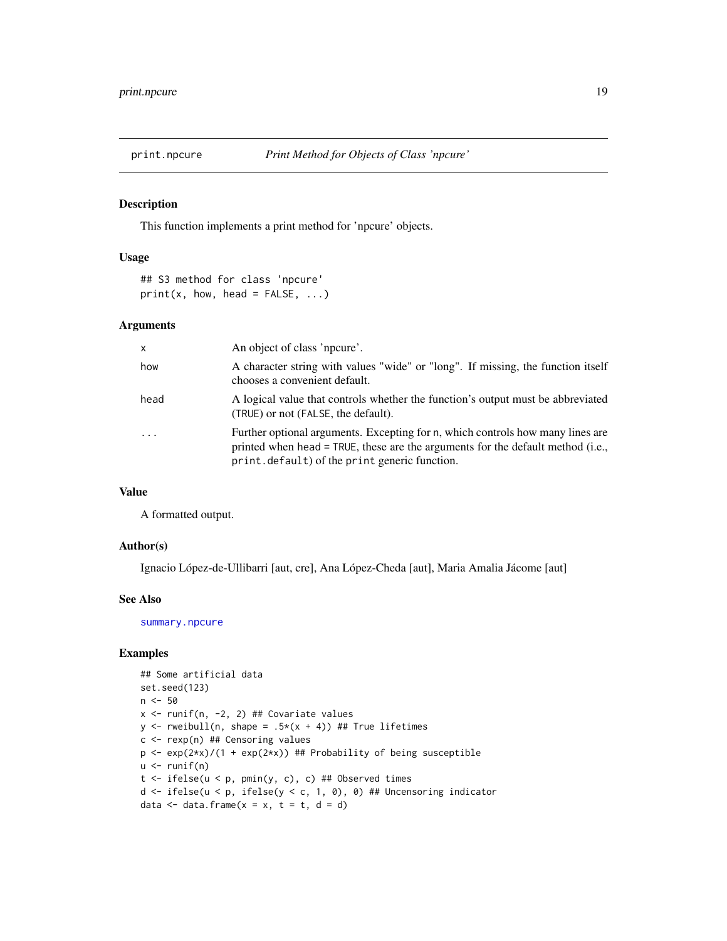<span id="page-18-1"></span><span id="page-18-0"></span>

#### Description

This function implements a print method for 'npcure' objects.

#### Usage

```
## S3 method for class 'npcure'
print(x, how, head = FALSE, ...)
```
#### Arguments

| $\mathsf{x}$ | An object of class 'npcure'.                                                                                                                                                                                       |
|--------------|--------------------------------------------------------------------------------------------------------------------------------------------------------------------------------------------------------------------|
| how          | A character string with values "wide" or "long". If missing, the function itself<br>chooses a convenient default.                                                                                                  |
| head         | A logical value that controls whether the function's output must be abbreviated<br>(TRUE) or not (FALSE, the default).                                                                                             |
| $\cdot$      | Further optional arguments. Excepting for n, which controls how many lines are<br>printed when head = TRUE, these are the arguments for the default method (i.e.,<br>print.default) of the print generic function. |

#### Value

A formatted output.

#### Author(s)

Ignacio López-de-Ullibarri [aut, cre], Ana López-Cheda [aut], Maria Amalia Jácome [aut]

#### See Also

[summary.npcure](#page-25-1)

```
## Some artificial data
set.seed(123)
n <- 50
x \leftarrow runif(n, -2, 2) ## Covariate values
y \le - rweibull(n, shape = .5*(x + 4)) ## True lifetimes
c \leq -\text{rexp}(n) ## Censoring values
p \leftarrow \exp(2*x) / (1 + \exp(2*x)) ## Probability of being susceptible
u \leftarrow runif(n)t \le ifelse(u \le p, pmin(y, c), c) ## Observed times
d <- ifelse(u < p, ifelse(y < c, 1, 0), 0) ## Uncensoring indicator
data \leq data.frame(x = x, t = t, d = d)
```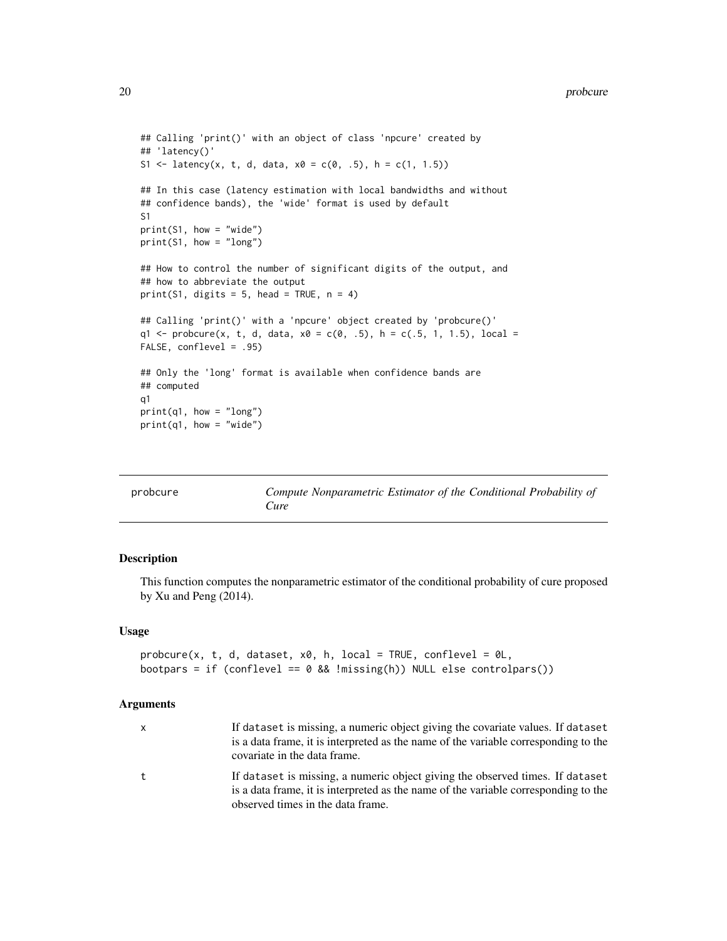```
## Calling 'print()' with an object of class 'npcure' created by
## 'latency()'
S1 <- latency(x, t, d, data, x0 = c(0, .5), h = c(1, 1.5))
## In this case (latency estimation with local bandwidths and without
## confidence bands), the 'wide' format is used by default
S1
print(S1, how = "wide")print(S1, how = "long")
## How to control the number of significant digits of the output, and
## how to abbreviate the output
print(S1, digits = 5, head = TRUE, n = 4)
## Calling 'print()' with a 'npcure' object created by 'probcure()'
q1 \leq probcure(x, t, d, data, x0 = c(0, .5), h = c(.5, 1, 1.5), local =
FALSE, conflevel = .95)
## Only the 'long' format is available when confidence bands are
## computed
q1
print(q1, how = "long")
print(q1, how = "wide")
```
<span id="page-19-1"></span>

| probcure | Compute Nonparametric Estimator of the Conditional Probability of |
|----------|-------------------------------------------------------------------|
|          | Cure                                                              |

### Description

This function computes the nonparametric estimator of the conditional probability of cure proposed by Xu and Peng (2014).

#### Usage

```
probcure(x, t, d, dataset, x0, h, local = TRUE, conflevel = 0L,
bootpars = if (conflevel == 0 && !missing(h)) NULL else controlpars())
```
#### Arguments

| X | If dataset is missing, a numeric object giving the covariate values. If dataset<br>is a data frame, it is interpreted as the name of the variable corresponding to the<br>covariate in the data frame.    |
|---|-----------------------------------------------------------------------------------------------------------------------------------------------------------------------------------------------------------|
| t | If dataset is missing, a numeric object giving the observed times. If dataset<br>is a data frame, it is interpreted as the name of the variable corresponding to the<br>observed times in the data frame. |

<span id="page-19-0"></span>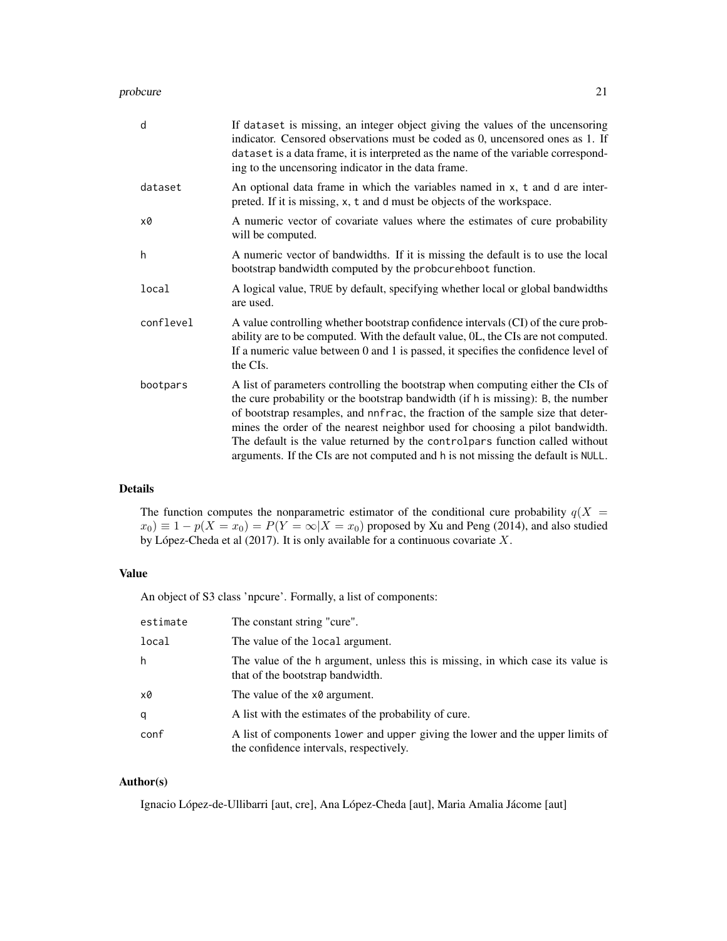#### probcure 21

| d         | If dataset is missing, an integer object giving the values of the uncensoring<br>indicator. Censored observations must be coded as 0, uncensored ones as 1. If<br>dataset is a data frame, it is interpreted as the name of the variable correspond-<br>ing to the uncensoring indicator in the data frame.                                                                                                                                                                                                |
|-----------|------------------------------------------------------------------------------------------------------------------------------------------------------------------------------------------------------------------------------------------------------------------------------------------------------------------------------------------------------------------------------------------------------------------------------------------------------------------------------------------------------------|
| dataset   | An optional data frame in which the variables named in x, t and d are inter-<br>preted. If it is missing, x, t and d must be objects of the workspace.                                                                                                                                                                                                                                                                                                                                                     |
| x0        | A numeric vector of covariate values where the estimates of cure probability<br>will be computed.                                                                                                                                                                                                                                                                                                                                                                                                          |
| h         | A numeric vector of bandwidths. If it is missing the default is to use the local<br>bootstrap bandwidth computed by the probcurehboot function.                                                                                                                                                                                                                                                                                                                                                            |
| local     | A logical value, TRUE by default, specifying whether local or global bandwidths<br>are used.                                                                                                                                                                                                                                                                                                                                                                                                               |
| conflevel | A value controlling whether bootstrap confidence intervals (CI) of the cure prob-<br>ability are to be computed. With the default value, OL, the CIs are not computed.<br>If a numeric value between 0 and 1 is passed, it specifies the confidence level of<br>the CIs.                                                                                                                                                                                                                                   |
| bootpars  | A list of parameters controlling the bootstrap when computing either the CIs of<br>the cure probability or the bootstrap bandwidth (if h is missing): B, the number<br>of bootstrap resamples, and nnfrac, the fraction of the sample size that deter-<br>mines the order of the nearest neighbor used for choosing a pilot bandwidth.<br>The default is the value returned by the controlpars function called without<br>arguments. If the CIs are not computed and h is not missing the default is NULL. |

# Details

The function computes the nonparametric estimator of the conditional cure probability  $q(X =$  $x_0 \equiv 1 - p(X = x_0) = P(Y = \infty | X = x_0)$  proposed by Xu and Peng (2014), and also studied by López-Cheda et al (2017). It is only available for a continuous covariate X.

# Value

An object of S3 class 'npcure'. Formally, a list of components:

| estimate | The constant string "cure".                                                                                              |
|----------|--------------------------------------------------------------------------------------------------------------------------|
| local    | The value of the local argument.                                                                                         |
| h        | The value of the h argument, unless this is missing, in which case its value is<br>that of the bootstrap bandwidth.      |
| x0       | The value of the $\times \emptyset$ argument.                                                                            |
| q        | A list with the estimates of the probability of cure.                                                                    |
| conf     | A list of components lower and upper giving the lower and the upper limits of<br>the confidence intervals, respectively. |

# Author(s)

Ignacio López-de-Ullibarri [aut, cre], Ana López-Cheda [aut], Maria Amalia Jácome [aut]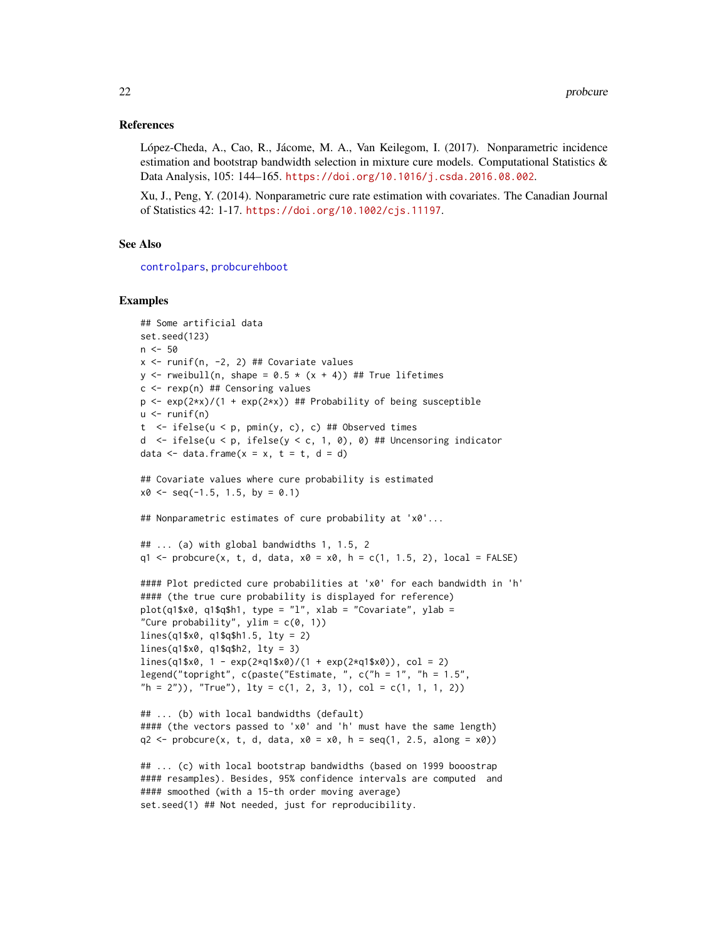#### <span id="page-21-0"></span>References

López-Cheda, A., Cao, R., Jácome, M. A., Van Keilegom, I. (2017). Nonparametric incidence estimation and bootstrap bandwidth selection in mixture cure models. Computational Statistics  $\&$ Data Analysis, 105: 144–165. <https://doi.org/10.1016/j.csda.2016.08.002>.

Xu, J., Peng, Y. (2014). Nonparametric cure rate estimation with covariates. The Canadian Journal of Statistics 42: 1-17. <https://doi.org/10.1002/cjs.11197>.

#### See Also

[controlpars](#page-8-1), [probcurehboot](#page-22-1)

```
## Some artificial data
set.seed(123)
n < -50x \le - runif(n, -2, 2) ## Covariate values
y \le rweibull(n, shape = 0.5 \star (x + 4)) ## True lifetimes
c \leq -\text{resp}(n) ## Censoring values
p \leq -\exp(2*x)/(1 + \exp(2*x)) ## Probability of being susceptible
u \leftarrow runif(n)t \le ifelse(u \le p, pmin(y, c), c) ## Observed times
d \le ifelse(u \le p, ifelse(y \le c, 1, 0), 0) ## Uncensoring indicator
data \leq data.frame(x = x, t = t, d = d)
## Covariate values where cure probability is estimated
x0 \leq -\text{seq}(-1.5, 1.5, \text{ by } = 0.1)## Nonparametric estimates of cure probability at 'x0'...
## ... (a) with global bandwidths 1, 1.5, 2
q1 \leq - probcure(x, t, d, data, x0 = x0, h = c(1, 1.5, 2), local = FALSE)
#### Plot predicted cure probabilities at 'x0' for each bandwidth in 'h'
#### (the true cure probability is displayed for reference)
plot(q1$x0, q1$q$h1, type = "l", xlab = "Covariate", ylab =
"Cure probability", ylim = c(\emptyset, 1))
lines(q1$x0, q1$q$h1.5, lty = 2)
lines(q1$x0, q1$q$h2, lty = 3)
lines(q1$x\theta, 1 - exp(2*q1$x\theta)/(1 + exp(2*q1$x\theta)), col = 2)
legend("topright", c(paste("Estimate, ", c("h = 1", "h = 1.5",
"h = 2")), "True"), lty = c(1, 2, 3, 1), col = c(1, 1, 1, 2)## ... (b) with local bandwidths (default)
#### (the vectors passed to 'x0' and 'h' must have the same length)
q2 \leq - probcure(x, t, d, data, x0 = x0, h = seq(1, 2.5, along = x0))
## ... (c) with local bootstrap bandwidths (based on 1999 booostrap
#### resamples). Besides, 95% confidence intervals are computed and
#### smoothed (with a 15-th order moving average)
set.seed(1) ## Not needed, just for reproducibility.
```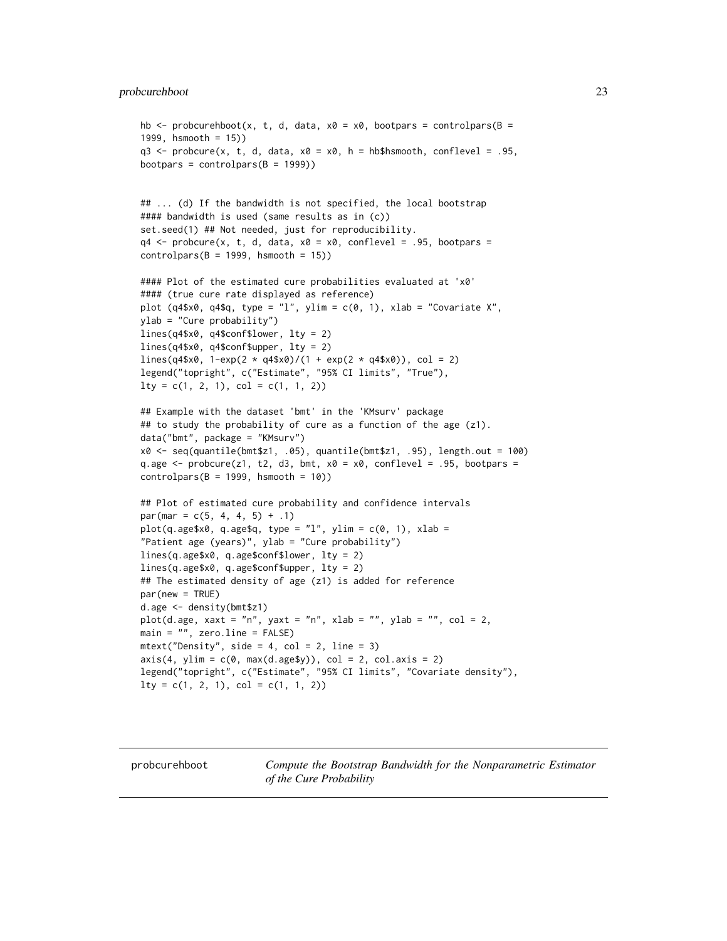# <span id="page-22-0"></span>probcurehboot 23

```
hb \le- probcurehboot(x, t, d, data, x0 = x0, bootpars = controlpars(B =
1999, hsmooth = 15))
q3 \leq- probcure(x, t, d, data, x0 = x0, h = hb$hsmooth, conflevel = .95,
bootpars = controlpars(B = 1999)## ... (d) If the bandwidth is not specified, the local bootstrap
#### bandwidth is used (same results as in (c))
set.seed(1) ## Not needed, just for reproducibility.
q4 \leq probcure(x, t, d, data, x0 = x0, conflevel = .95, bootpars =
controlpars(B = 1999, hsmooth = 15))#### Plot of the estimated cure probabilities evaluated at 'x0'
#### (true cure rate displayed as reference)
plot (q4$x0, q4$q, type = "l", ylim = c(0, 1), xlab = "Covariate X",
ylab = "Cure probability")
lines(q4$x0, q4$conf$lower, lty = 2)
lines(q4$x0, q4$conf$upper, lty = 2)
lines(q4$x0, 1-exp(2 * q4$x0)/(1 + exp(2 * q4$x0)), col = 2)legend("topright", c("Estimate", "95% CI limits", "True"),
lty = c(1, 2, 1), col = c(1, 1, 2)## Example with the dataset 'bmt' in the 'KMsurv' package
## to study the probability of cure as a function of the age (z1).
data("bmt", package = "KMsurv")
x0 <- seq(quantile(bmt$z1, .05), quantile(bmt$z1, .95), length.out = 100)
q.age \leq probcure(z1, t2, d3, bmt, x0 = x0, conflevel = .95, bootpars =
controlpars(B = 1999, hsmooth = 10)## Plot of estimated cure probability and confidence intervals
par(max = c(5, 4, 4, 5) + .1)plot(q.age $x0, q.age $q, type = "l", ylim = c(0, 1), xlab ="Patient age (years)", ylab = "Cure probability")
lines(q.age$x0, q.age$conf$lower, lty = 2)
lines(q.age$x0, q.age$conf$upper, lty = 2)
## The estimated density of age (z1) is added for reference
par(new = TRUE)
d.age <- density(bmt$z1)
plot(d.age, xaxt = "n", yaxt = "n", xlab = "", ylab = "", col = 2,
main = "", zeroline = FALSE)mtext('Density'', side = 4, col = 2, line = 3)axis(4, ylim = c(0, max(d.ageSy)), col = 2, col.axis = 2)legend("topright", c("Estimate", "95% CI limits", "Covariate density"),
lty = c(1, 2, 1), col = c(1, 1, 2)
```
<span id="page-22-1"></span>probcurehboot *Compute the Bootstrap Bandwidth for the Nonparametric Estimator of the Cure Probability*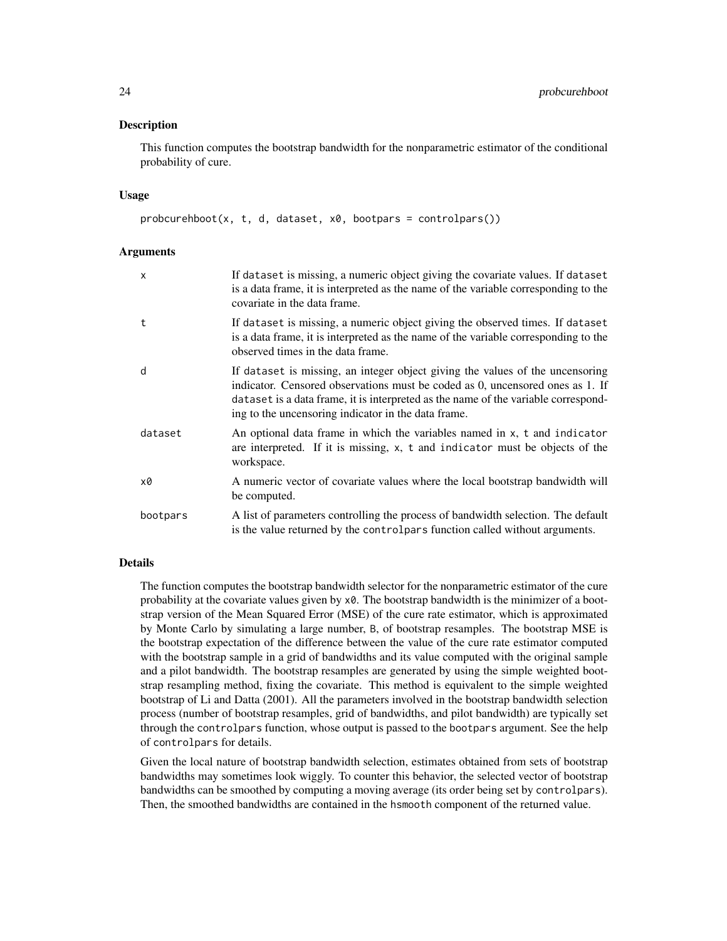#### Description

This function computes the bootstrap bandwidth for the nonparametric estimator of the conditional probability of cure.

#### Usage

probcurehboot(x, t, d, dataset, x0, bootpars = controlpars())

#### Arguments

| x        | If dataset is missing, a numeric object giving the covariate values. If dataset<br>is a data frame, it is interpreted as the name of the variable corresponding to the<br>covariate in the data frame.                                                                                                      |
|----------|-------------------------------------------------------------------------------------------------------------------------------------------------------------------------------------------------------------------------------------------------------------------------------------------------------------|
| t        | If dataset is missing, a numeric object giving the observed times. If dataset<br>is a data frame, it is interpreted as the name of the variable corresponding to the<br>observed times in the data frame.                                                                                                   |
| d        | If dataset is missing, an integer object giving the values of the uncensoring<br>indicator. Censored observations must be coded as 0, uncensored ones as 1. If<br>dataset is a data frame, it is interpreted as the name of the variable correspond-<br>ing to the uncensoring indicator in the data frame. |
| dataset  | An optional data frame in which the variables named in x, t and indicator<br>are interpreted. If it is missing, x, t and indicator must be objects of the<br>workspace.                                                                                                                                     |
| x0       | A numeric vector of covariate values where the local bootstrap bandwidth will<br>be computed.                                                                                                                                                                                                               |
| bootpars | A list of parameters controlling the process of bandwidth selection. The default<br>is the value returned by the control part function called without arguments.                                                                                                                                            |

# Details

The function computes the bootstrap bandwidth selector for the nonparametric estimator of the cure probability at the covariate values given by x0. The bootstrap bandwidth is the minimizer of a bootstrap version of the Mean Squared Error (MSE) of the cure rate estimator, which is approximated by Monte Carlo by simulating a large number, B, of bootstrap resamples. The bootstrap MSE is the bootstrap expectation of the difference between the value of the cure rate estimator computed with the bootstrap sample in a grid of bandwidths and its value computed with the original sample and a pilot bandwidth. The bootstrap resamples are generated by using the simple weighted bootstrap resampling method, fixing the covariate. This method is equivalent to the simple weighted bootstrap of Li and Datta (2001). All the parameters involved in the bootstrap bandwidth selection process (number of bootstrap resamples, grid of bandwidths, and pilot bandwidth) are typically set through the controlpars function, whose output is passed to the bootpars argument. See the help of controlpars for details.

Given the local nature of bootstrap bandwidth selection, estimates obtained from sets of bootstrap bandwidths may sometimes look wiggly. To counter this behavior, the selected vector of bootstrap bandwidths can be smoothed by computing a moving average (its order being set by controlpars). Then, the smoothed bandwidths are contained in the hsmooth component of the returned value.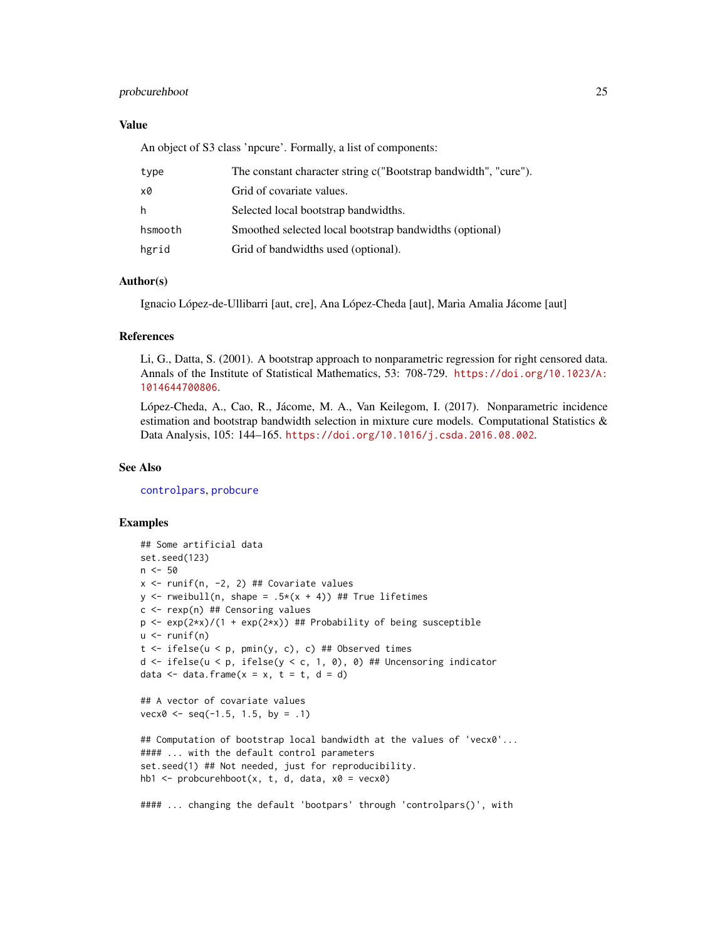### <span id="page-24-0"></span>probcurehboot 25

# Value

An object of S3 class 'npcure'. Formally, a list of components:

| type    | The constant character string c("Bootstrap bandwidth", "cure"). |
|---------|-----------------------------------------------------------------|
| x0      | Grid of covariate values.                                       |
| h.      | Selected local bootstrap bandwidths.                            |
| hsmooth | Smoothed selected local bootstrap bandwidths (optional)         |
| hgrid   | Grid of bandwidths used (optional).                             |

# Author(s)

Ignacio López-de-Ullibarri [aut, cre], Ana López-Cheda [aut], Maria Amalia Jácome [aut]

# **References**

Li, G., Datta, S. (2001). A bootstrap approach to nonparametric regression for right censored data. Annals of the Institute of Statistical Mathematics, 53: 708-729. [https://doi.org/10.1023/A:](https://doi.org/10.1023/A:1014644700806) [1014644700806](https://doi.org/10.1023/A:1014644700806).

López-Cheda, A., Cao, R., Jácome, M. A., Van Keilegom, I. (2017). Nonparametric incidence estimation and bootstrap bandwidth selection in mixture cure models. Computational Statistics & Data Analysis, 105: 144–165. <https://doi.org/10.1016/j.csda.2016.08.002>.

#### See Also

[controlpars](#page-8-1), [probcure](#page-19-1)

```
## Some artificial data
set.seed(123)
n <- 50
x \le runif(n, -2, 2) ## Covariate values
y <- rweibull(n, shape = .5*(x + 4)) ## True lifetimes
c \leq -\text{resp}(n) ## Censoring values
p \leq -\exp(2*x)/(1 + \exp(2*x)) ## Probability of being susceptible
u \leftarrow runif(n)t \le ifelse(u \le p, pmin(y, c), c) ## Observed times
d <- ifelse(u < p, ifelse(y < c, 1, 0), 0) ## Uncensoring indicator
data \leq data.frame(x = x, t = t, d = d)
## A vector of covariate values
\text{vec} \times 0 \leq -\text{seq}(-1.5, 1.5, \text{ by } = .1)## Computation of bootstrap local bandwidth at the values of 'vecx0'...
#### ... with the default control parameters
set.seed(1) ## Not needed, just for reproducibility.
hb1 <- probcurehboot(x, t, d, data, x0 = vec0)#### ... changing the default 'bootpars' through 'controlpars()', with
```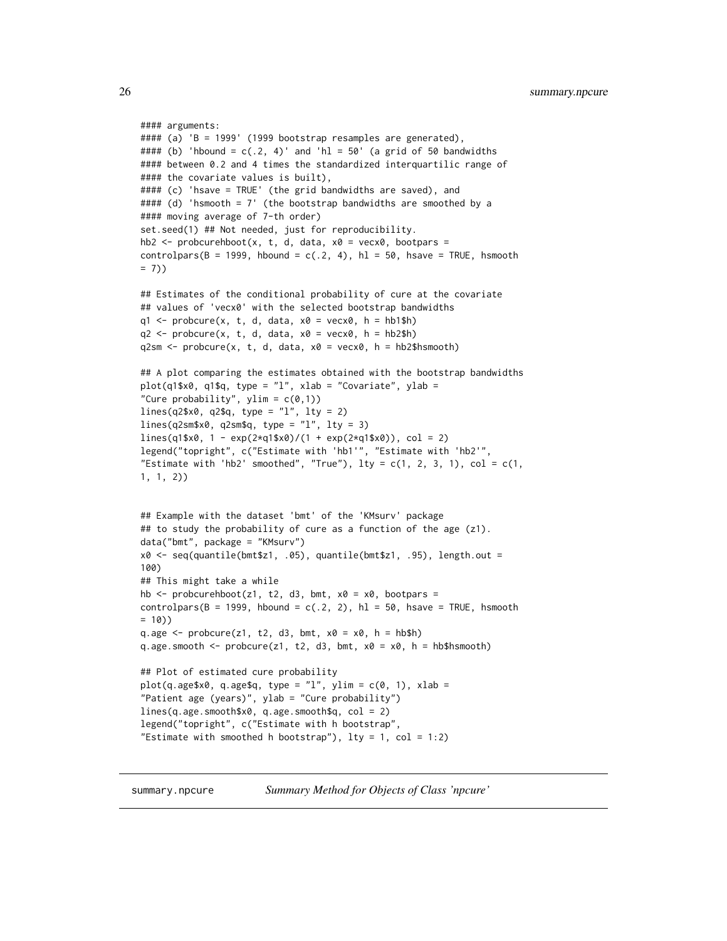```
#### arguments:
#### (a) 'B = 1999' (1999 bootstrap resamples are generated),
#### (b) 'hbound = c(.2, 4)' and 'hl = 50' (a grid of 50 bandwidths
#### between 0.2 and 4 times the standardized interquartilic range of
#### the covariate values is built),
#### (c) 'hsave = TRUE' (the grid bandwidths are saved), and
#### (d) 'hsmooth = 7' (the bootstrap bandwidths are smoothed by a
#### moving average of 7-th order)
set.seed(1) ## Not needed, just for reproducibility.
hb2 <- probcurehboot(x, t, d, data, x0 = \text{vec}x0, bootpars =
controlpars(B = 1999, hbound = c(.2, 4), hl = 50, hsave = TRUE, hsmooth
= 7))
## Estimates of the conditional probability of cure at the covariate
## values of 'vecx0' with the selected bootstrap bandwidths
q1 \leq - probcure(x, t, d, data, x0 = vecx0, h = hb1$h)
q2 \leq probcure(x, t, d, data, x0 = vecx0, h = hb2$h)
q2sm \leftarrow probcure(x, t, d, data, x0 = vecx0, h = hb2$hsmooth)
## A plot comparing the estimates obtained with the bootstrap bandwidths
plot(q1$x0, q1$q, type = "l", xlab = "Covariate", ylab =
"Cure probability", ylim = c(0,1))
lines(q2$x0, q2$q, type = "l", lty = 2)
lines(q2sm$x0, q2sm$q, type = "l", lty = 3)lines(q1$x0, 1 - exp(2*q1$x0)/(1 + exp(2*q1$x0)), col = 2)
legend("topright", c("Estimate with 'hb1'", "Estimate with 'hb2'",
"Estimate with 'hb2' smoothed", "True"), lty = c(1, 2, 3, 1), col = c(1,
1, 1, 2))
## Example with the dataset 'bmt' of the 'KMsurv' package
## to study the probability of cure as a function of the age (z1).
data("bmt", package = "KMsurv")
x0 \leq - seq(quantile(bmt$z1, .05), quantile(bmt$z1, .95), length.out =
100)
## This might take a while
hb \leq probcurehboot(z1, t2, d3, bmt, x0 = x0, bootpars =
controlpars(B = 1999, hbound = c(.2, 2), hl = 50, hsave = TRUE, hsmooth
= 10))
q.age \leq probcure(z1, t2, d3, bmt, x0 = x0, h = hb$h)
q.age.smooth \leq probcure(z1, t2, d3, bmt, x0 = x0, h = hb$hsmooth)
## Plot of estimated cure probability
plot(q.age$x0, q.age$q, type = "l", ylim = c(0, 1), xlab =
"Patient age (years)", ylab = "Cure probability")
lines(q.age.smooth$x0, q.age.smooth$q, col = 2)
legend("topright", c("Estimate with h bootstrap",
"Estimate with smoothed h bootstrap"), lty = 1, col = 1:2)
```
<span id="page-25-1"></span>summary.npcure *Summary Method for Objects of Class 'npcure'*

<span id="page-25-0"></span>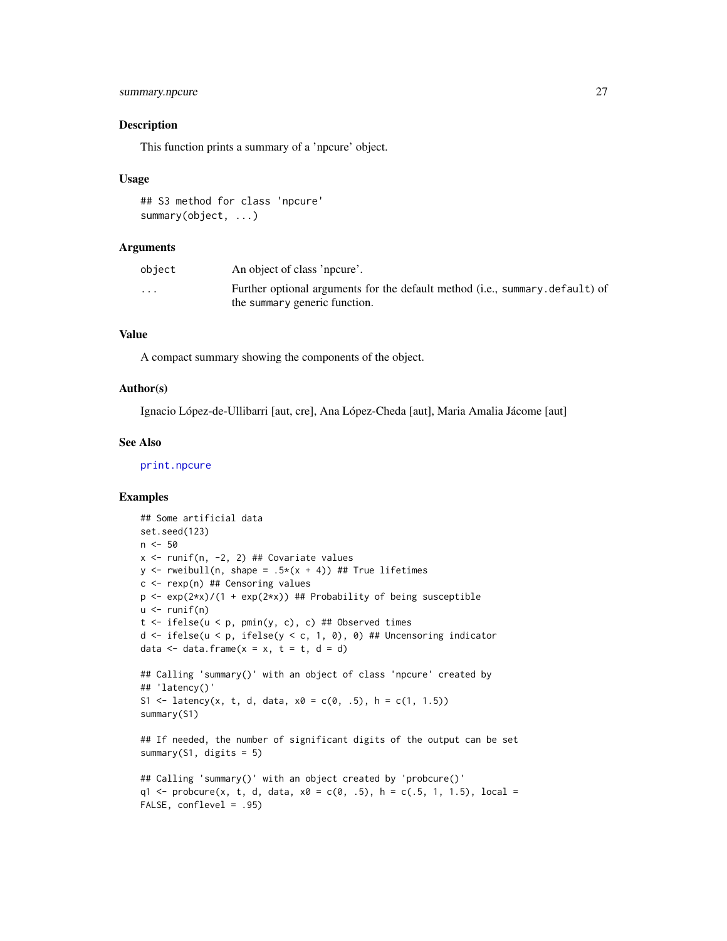# <span id="page-26-0"></span>summary.npcure 27

#### Description

This function prints a summary of a 'npcure' object.

#### Usage

```
## S3 method for class 'npcure'
summary(object, ...)
```
#### Arguments

| object                  | An object of class 'npcure'.                                                  |
|-------------------------|-------------------------------------------------------------------------------|
| $\cdot$ $\cdot$ $\cdot$ | Further optional arguments for the default method (i.e., summary, default) of |
|                         | the summary generic function.                                                 |

# Value

A compact summary showing the components of the object.

#### Author(s)

Ignacio López-de-Ullibarri [aut, cre], Ana López-Cheda [aut], Maria Amalia Jácome [aut]

#### See Also

[print.npcure](#page-18-1)

```
## Some artificial data
set.seed(123)
n <- 50
x \le - runif(n, -2, 2) ## Covariate values
y \le - rweibull(n, shape = .5*(x + 4)) ## True lifetimes
c \leq -\text{resp}(n) ## Censoring values
p \leq -\exp(2*x)/(1 + \exp(2*x)) ## Probability of being susceptible
u \leftarrow runif(n)t \le ifelse(u \le p, pmin(y, c), c) ## Observed times
d <- ifelse(u < p, ifelse(y < c, 1, 0), 0) ## Uncensoring indicator
data \leq data.frame(x = x, t = t, d = d)
## Calling 'summary()' with an object of class 'npcure' created by
## 'latency()'
S1 <- latency(x, t, d, data, x0 = c(0, .5), h = c(1, 1.5))
summary(S1)
## If needed, the number of significant digits of the output can be set
summary(S1, digits = 5)
## Calling 'summary()' with an object created by 'probcure()'
q1 \leq - probcure(x, t, d, data, x0 = c(0, .5), h = c(.5, 1, 1.5), local =
FALSE, conflevel = .95)
```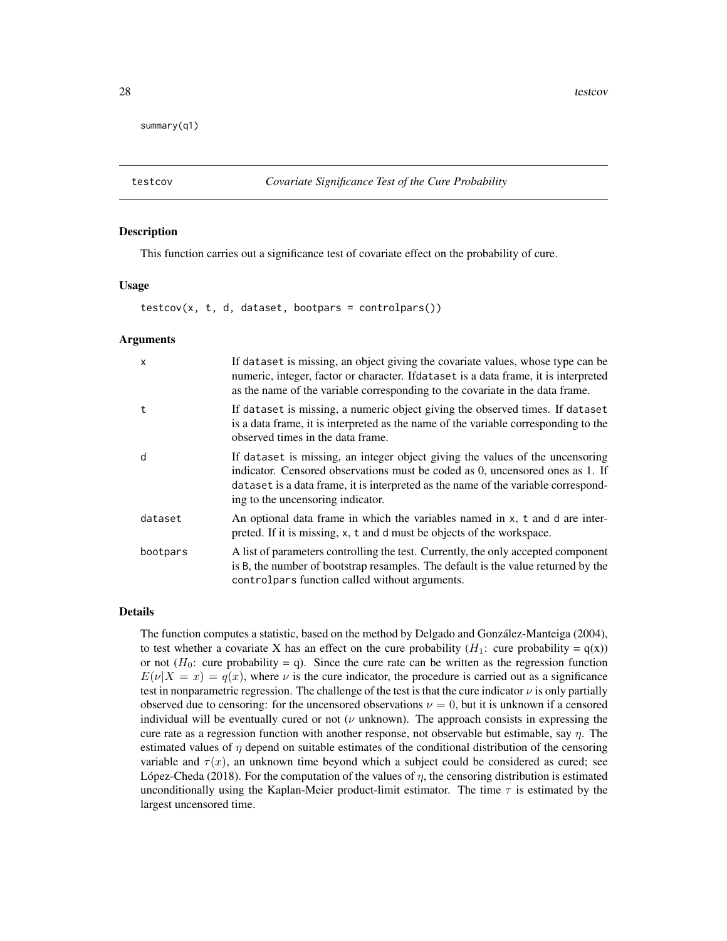<span id="page-27-0"></span>summary(q1)

<span id="page-27-1"></span>

#### Description

This function carries out a significance test of covariate effect on the probability of cure.

#### Usage

 $testcov(x, t, d, dataset, bootpars = controlpars())$ 

### Arguments

| X        | If dataset is missing, an object giving the covariate values, whose type can be<br>numeric, integer, factor or character. If dataset is a data frame, it is interpreted<br>as the name of the variable corresponding to the covariate in the data frame.                                  |
|----------|-------------------------------------------------------------------------------------------------------------------------------------------------------------------------------------------------------------------------------------------------------------------------------------------|
| t.       | If dataset is missing, a numeric object giving the observed times. If dataset<br>is a data frame, it is interpreted as the name of the variable corresponding to the<br>observed times in the data frame.                                                                                 |
| d        | If dataset is missing, an integer object giving the values of the uncensoring<br>indicator. Censored observations must be coded as 0, uncensored ones as 1. If<br>dataset is a data frame, it is interpreted as the name of the variable correspond-<br>ing to the uncensoring indicator. |
| dataset  | An optional data frame in which the variables named in x, t and d are inter-<br>preted. If it is missing, x, t and d must be objects of the workspace.                                                                                                                                    |
| bootpars | A list of parameters controlling the test. Currently, the only accepted component<br>is B, the number of bootstrap resamples. The default is the value returned by the<br>controlpars function called without arguments.                                                                  |

#### Details

The function computes a statistic, based on the method by Delgado and González-Manteiga (2004), to test whether a covariate X has an effect on the cure probability ( $H_1$ : cure probability =  $q(x)$ ) or not  $(H_0:$  cure probability = q). Since the cure rate can be written as the regression function  $E(\nu|X = x) = q(x)$ , where  $\nu$  is the cure indicator, the procedure is carried out as a significance test in nonparametric regression. The challenge of the test is that the cure indicator  $\nu$  is only partially observed due to censoring: for the uncensored observations  $\nu = 0$ , but it is unknown if a censored individual will be eventually cured or not  $(\nu$  unknown). The approach consists in expressing the cure rate as a regression function with another response, not observable but estimable, say  $\eta$ . The estimated values of  $\eta$  depend on suitable estimates of the conditional distribution of the censoring variable and  $\tau(x)$ , an unknown time beyond which a subject could be considered as cured; see López-Cheda (2018). For the computation of the values of  $\eta$ , the censoring distribution is estimated unconditionally using the Kaplan-Meier product-limit estimator. The time  $\tau$  is estimated by the largest uncensored time.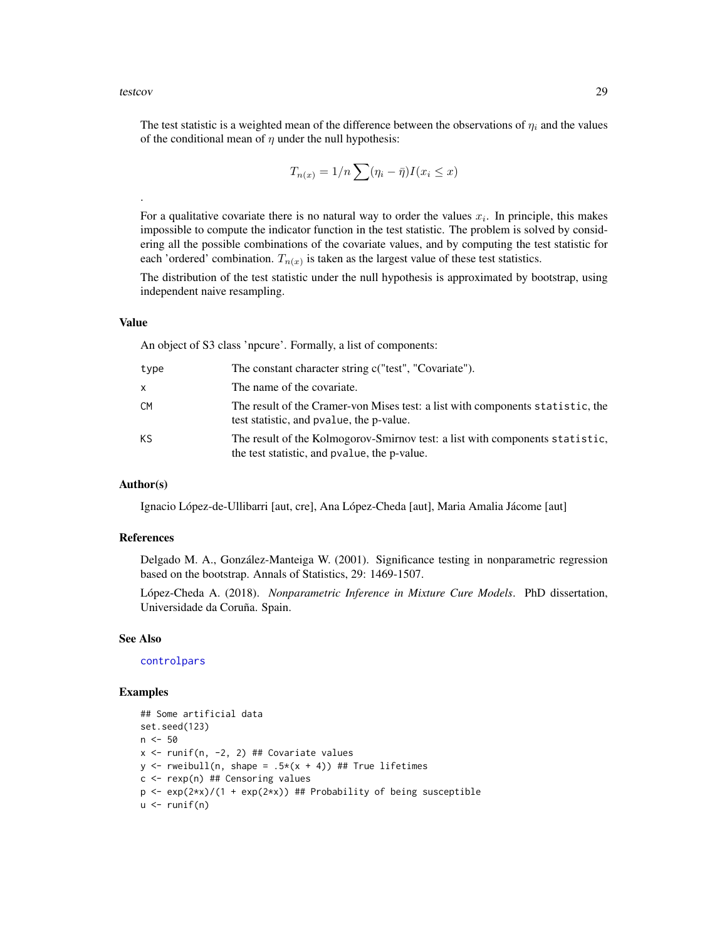#### <span id="page-28-0"></span>testcov 29

.

The test statistic is a weighted mean of the difference between the observations of  $\eta_i$  and the values of the conditional mean of  $\eta$  under the null hypothesis:

$$
T_{n(x)} = 1/n \sum_{i} (\eta_i - \bar{\eta}) I(x_i \le x)
$$

For a qualitative covariate there is no natural way to order the values  $x_i$ . In principle, this makes impossible to compute the indicator function in the test statistic. The problem is solved by considering all the possible combinations of the covariate values, and by computing the test statistic for each 'ordered' combination.  $T_{n(x)}$  is taken as the largest value of these test statistics.

The distribution of the test statistic under the null hypothesis is approximated by bootstrap, using independent naive resampling.

#### Value

An object of S3 class 'npcure'. Formally, a list of components:

| type      | The constant character string c("test", "Covariate").                                                                        |
|-----------|------------------------------------------------------------------------------------------------------------------------------|
| x         | The name of the covariate.                                                                                                   |
| <b>CM</b> | The result of the Cramer-von Mises test: a list with components statistic, the<br>test statistic, and pvalue, the p-value.   |
| KS        | The result of the Kolmogorov-Smirnov test: a list with components statistic,<br>the test statistic, and pvalue, the p-value. |

# Author(s)

Ignacio López-de-Ullibarri [aut, cre], Ana López-Cheda [aut], Maria Amalia Jácome [aut]

# References

Delgado M. A., González-Manteiga W. (2001). Significance testing in nonparametric regression based on the bootstrap. Annals of Statistics, 29: 1469-1507.

López-Cheda A. (2018). *Nonparametric Inference in Mixture Cure Models*. PhD dissertation, Universidade da Coruña. Spain.

#### See Also

[controlpars](#page-8-1)

```
## Some artificial data
set.seed(123)
n <- 50
x \leftarrow runif(n, -2, 2) ## Covariate values
y \le - rweibull(n, shape = .5*(x + 4)) ## True lifetimes
c <- rexp(n) ## Censoring values
p \leq -\exp(2*x)/(1 + \exp(2*x)) ## Probability of being susceptible
u \leftarrow runif(n)
```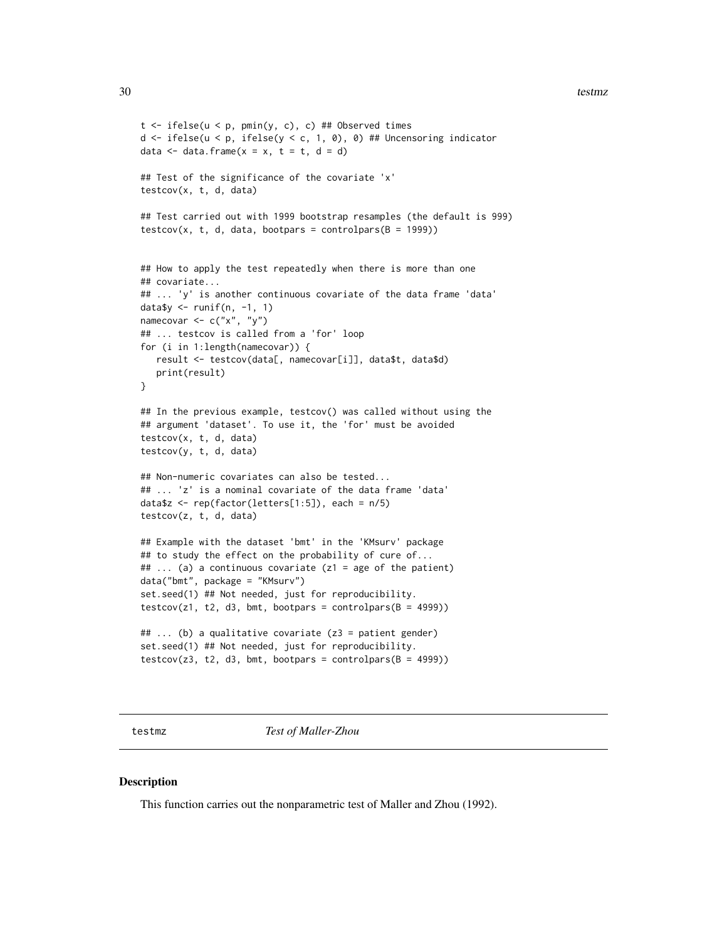```
t \le ifelse(u \le p, pmin(y, c), c) ## Observed times
d <- ifelse(u < p, ifelse(y < c, 1, 0), 0) ## Uncensoring indicator
data \leq data.frame(x = x, t = t, d = d)
## Test of the significance of the covariate 'x'
testcov(x, t, d, data)
## Test carried out with 1999 bootstrap resamples (the default is 999)
testcov(x, t, d, data, bootpars = controlpars(B = 1999))## How to apply the test repeatedly when there is more than one
## covariate...
## ... 'y' is another continuous covariate of the data frame 'data'
data$y <- runif(n, -1, 1)
namecovar <- c("x", "y")
## ... testcov is called from a 'for' loop
for (i in 1:length(namecovar)) {
   result <- testcov(data[, namecovar[i]], data$t, data$d)
   print(result)
}
## In the previous example, testcov() was called without using the
## argument 'dataset'. To use it, the 'for' must be avoided
testcov(x, t, d, data)
testcov(y, t, d, data)
## Non-numeric covariates can also be tested...
## ... 'z' is a nominal covariate of the data frame 'data'
data$z <- rep(factor(letters[1:5]), each = n/5)
testcov(z, t, d, data)
## Example with the dataset 'bmt' in the 'KMsurv' package
## to study the effect on the probability of cure of...
## ... (a) a continuous covariate (z1 = age of the patient)
data("bmt", package = "KMsurv")
set.seed(1) ## Not needed, just for reproducibility.
testcov(z1, t2, d3, bmt, bootpars = controlpars(B = 4999))## ... (b) a qualitative covariate (z3 = patient gender)
set.seed(1) ## Not needed, just for reproducibility.
testcov(z3, t2, d3, bmt, bootpars = controlpars(B = 4999))
```
testmz *Test of Maller-Zhou*

#### **Description**

This function carries out the nonparametric test of Maller and Zhou (1992).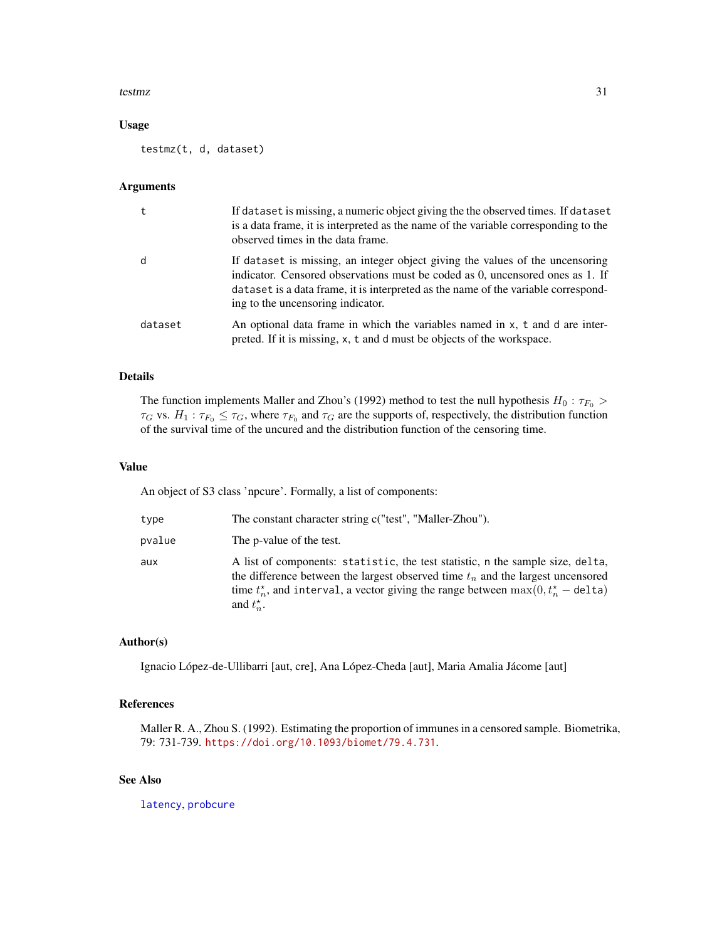#### <span id="page-30-0"></span>testmz 31

#### Usage

testmz(t, d, dataset)

#### Arguments

|         | If dataset is missing, a numeric object giving the the observed times. If dataset<br>is a data frame, it is interpreted as the name of the variable corresponding to the<br>observed times in the data frame.                                                                             |
|---------|-------------------------------------------------------------------------------------------------------------------------------------------------------------------------------------------------------------------------------------------------------------------------------------------|
| d       | If dataset is missing, an integer object giving the values of the uncensoring<br>indicator. Censored observations must be coded as 0, uncensored ones as 1. If<br>dataset is a data frame, it is interpreted as the name of the variable correspond-<br>ing to the uncensoring indicator. |
| dataset | An optional data frame in which the variables named in x, t and d are inter-<br>preted. If it is missing, x, t and d must be objects of the workspace.                                                                                                                                    |

## Details

The function implements Maller and Zhou's (1992) method to test the null hypothesis  $H_0$ :  $\tau_{F_0}$  >  $\tau_G$  vs.  $H_1: \tau_{F_0} \leq \tau_G$ , where  $\tau_{F_0}$  and  $\tau_G$  are the supports of, respectively, the distribution function of the survival time of the uncured and the distribution function of the censoring time.

#### Value

An object of S3 class 'npcure'. Formally, a list of components:

| type   | The constant character string c("test", "Maller-Zhou").                                                                                                                                                                                                                                |
|--------|----------------------------------------------------------------------------------------------------------------------------------------------------------------------------------------------------------------------------------------------------------------------------------------|
| pvalue | The p-value of the test.                                                                                                                                                                                                                                                               |
| aux    | A list of components: statistic, the test statistic, n the sample size, delta,<br>the difference between the largest observed time $t_n$ and the largest uncensored<br>time $t_n^*$ , and interval, a vector giving the range between $\max(0, t_n^* - \text{delta})$<br>and $t_n^*$ . |

#### Author(s)

Ignacio López-de-Ullibarri [aut, cre], Ana López-Cheda [aut], Maria Amalia Jácome [aut]

# References

Maller R. A., Zhou S. (1992). Estimating the proportion of immunes in a censored sample. Biometrika, 79: 731-739. <https://doi.org/10.1093/biomet/79.4.731>.

# See Also

[latency](#page-11-1), [probcure](#page-19-1)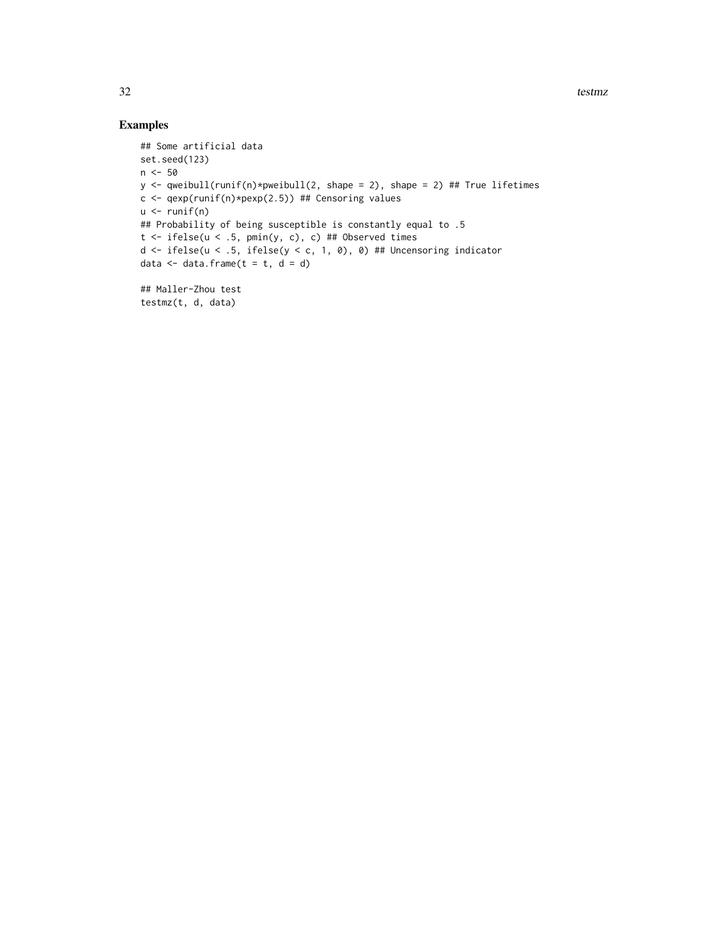# Examples

testmz(t, d, data)

```
## Some artificial data
set.seed(123)
n <- 50
y <- qweibull(runif(n)*pweibull(2, shape = 2), shape = 2) ## True lifetimes
c \leq -qexp(runif(n)*pexp(2.5)) ## Censoring values
u \leftarrow runif(n)## Probability of being susceptible is constantly equal to .5
t \le ifelse(u \le .5, pmin(y, c), c) ## Observed times
d <- ifelse(u < .5, ifelse(y < c, 1, 0), 0) ## Uncensoring indicator
data \leq data.frame(t = t, d = d)
## Maller-Zhou test
```